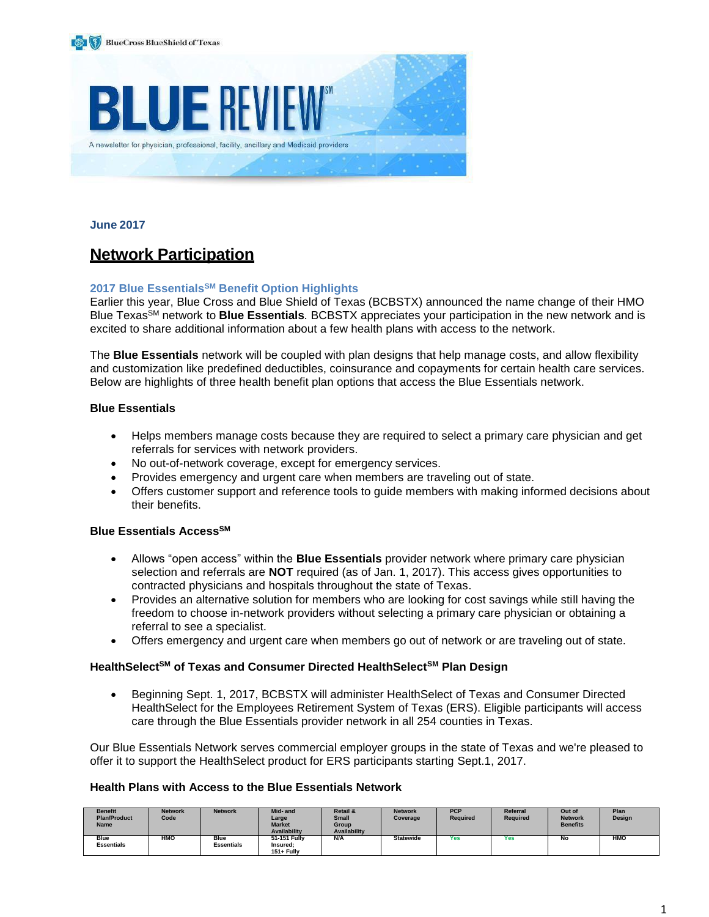



**June 2017**

## **Network Participation**

#### **2017 Blue EssentialsSM Benefit Option Highlights**

Earlier this year, Blue Cross and Blue Shield of Texas (BCBSTX) announced the name change of their HMO Blue TexasSM network to **Blue Essentials***.* BCBSTX appreciates your participation in the new network and is excited to share additional information about a few health plans with access to the network.

The **Blue Essentials** network will be coupled with plan designs that help manage costs, and allow flexibility and customization like predefined deductibles, coinsurance and copayments for certain health care services. Below are highlights of three health benefit plan options that access the Blue Essentials network.

#### **Blue Essentials**

- Helps members manage costs because they are required to select a primary care physician and get referrals for services with network providers.
- No out-of-network coverage, except for emergency services.
- Provides emergency and urgent care when members are traveling out of state.
- Offers customer support and reference tools to guide members with making informed decisions about their benefits.

#### **Blue Essentials AccessSM**

- Allows "open access" within the **Blue Essentials** provider network where primary care physician selection and referrals are **NOT** required (as of Jan. 1, 2017). This access gives opportunities to contracted physicians and hospitals throughout the state of Texas.
- Provides an alternative solution for members who are looking for cost savings while still having the freedom to choose in-network providers without selecting a primary care physician or obtaining a referral to see a specialist.
- Offers emergency and urgent care when members go out of network or are traveling out of state.

#### **HealthSelectSM of Texas and Consumer Directed HealthSelectSM Plan Design**

 Beginning Sept. 1, 2017, BCBSTX will administer HealthSelect of Texas and Consumer Directed HealthSelect for the Employees Retirement System of Texas (ERS). Eligible participants will access care through the Blue Essentials provider network in all 254 counties in Texas.

Our Blue Essentials Network serves commercial employer groups in the state of Texas and we're pleased to offer it to support the HealthSelect product for ERS participants starting Sept.1, 2017.

#### **Health Plans with Access to the Blue Essentials Network**

| <b>Benefit</b><br><b>Plan/Product</b><br><b>Name</b> | <b>Network</b><br>Code | <b>Network</b>                   | Mid- and<br>Large<br><b>Market</b><br><b>Availability</b> | <b>Retail &amp;</b><br><b>Small</b><br>Group<br><b>Availability</b> | <b>Network</b><br>Coverage | <b>PCP</b><br><b>Required</b> | Referral<br><b>Required</b> | Out of<br><b>Network</b><br><b>Benefits</b> | Plan<br>Design |
|------------------------------------------------------|------------------------|----------------------------------|-----------------------------------------------------------|---------------------------------------------------------------------|----------------------------|-------------------------------|-----------------------------|---------------------------------------------|----------------|
| <b>Blue</b><br><b>Essentials</b>                     | <b>HMO</b>             | <b>Blue</b><br><b>Essentials</b> | 51-151 Fully<br>Insured:<br>151+ Fully                    | N/A                                                                 | <b>Statewide</b>           | Yes                           | Yes                         | No                                          | HMO            |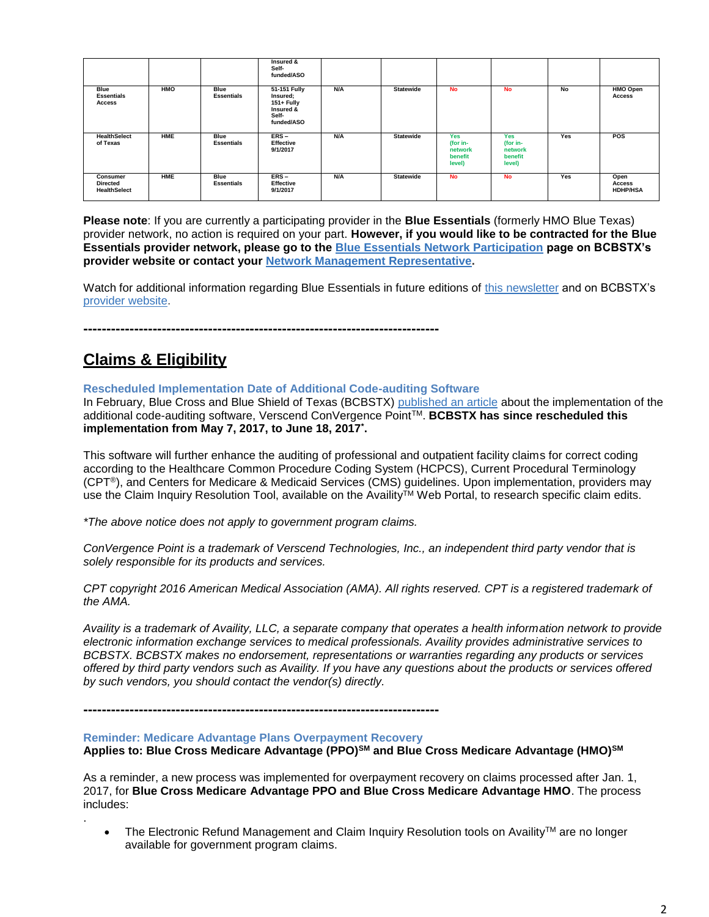|                                                    |            |                                  | Insured &<br>Self-<br>funded/ASO                                           |            |                  |                                                        |                                                 |     |                                   |
|----------------------------------------------------|------------|----------------------------------|----------------------------------------------------------------------------|------------|------------------|--------------------------------------------------------|-------------------------------------------------|-----|-----------------------------------|
| <b>Blue</b><br><b>Essentials</b><br>Access         | <b>HMO</b> | <b>Blue</b><br><b>Essentials</b> | 51-151 Fully<br>Insured;<br>151+ Fully<br>Insured &<br>Self-<br>funded/ASO | <b>N/A</b> | <b>Statewide</b> | <b>No</b>                                              | <b>No</b>                                       | No  | <b>HMO Open</b><br><b>Access</b>  |
| <b>HealthSelect</b><br>of Texas                    | <b>HME</b> | Blue<br><b>Essentials</b>        | $ERS -$<br>Effective<br>9/1/2017                                           | N/A        | <b>Statewide</b> | <b>Yes</b><br>(for in-<br>network<br>benefit<br>level) | Yes<br>(for in-<br>network<br>benefit<br>level) | Yes | <b>POS</b>                        |
| Consumer<br><b>Directed</b><br><b>HealthSelect</b> | <b>HME</b> | <b>Blue</b><br><b>Essentials</b> | $ERS -$<br><b>Effective</b><br>9/1/2017                                    | <b>N/A</b> | <b>Statewide</b> | <b>No</b>                                              | <b>No</b>                                       | Yes | Open<br>Access<br><b>HDHP/HSA</b> |

**Please note**: If you are currently a participating provider in the **Blue Essentials** (formerly HMO Blue Texas) provider network, no action is required on your part. **However, if you would like to be contracted for the Blue Essentials provider network, please go to the [Blue Essentials Network Participation](https://www.bcbstx.com/provider/network/blue_essentials_participation.html) page on BCBSTX's provider website or contact your [Network Management Representative.](https://www.bcbstx.com/provider/contact_us.html)**

Watch for additional information regarding Blue Essentials in future editions of this [newsletter](https://www.bcbstx.com/provider/news/bluereview.html) and on BCBSTX's [provider website.](https://www.bcbstx.com/provider/index.html)

**-----------------------------------------------------------------------------**

## **Claims & Eligibility**

.

**Rescheduled Implementation Date of Additional Code-auditing Software**

In February, Blue Cross and Blue Shield of Texas (BCBSTX) [published an article](https://www.bcbstx.com/provider/news/bluereview.html) about the implementation of the additional code-auditing software, Verscend ConVergence Point<sup>™</sup>. **BCBSTX has since rescheduled this implementation from May 7, 2017, to June 18, 2017\* .**

This software will further enhance the auditing of professional and outpatient facility claims for correct coding according to the Healthcare Common Procedure Coding System (HCPCS), Current Procedural Terminology (CPT®), and Centers for Medicare & Medicaid Services (CMS) guidelines. Upon implementation, providers may use the Claim Inquiry Resolution Tool, available on the Availity<sup>TM</sup> Web Portal, to research specific claim edits.

*\*The above notice does not apply to government program claims.*

*ConVergence Point is a trademark of Verscend Technologies, Inc., an independent third party vendor that is solely responsible for its products and services.*

*CPT copyright 2016 American Medical Association (AMA). All rights reserved. CPT is a registered trademark of the AMA.*

*Availity is a trademark of Availity, LLC, a separate company that operates a health information network to provide electronic information exchange services to medical professionals. Availity provides administrative services to BCBSTX. BCBSTX makes no endorsement, representations or warranties regarding any products or services offered by third party vendors such as Availity. If you have any questions about the products or services offered by such vendors, you should contact the vendor(s) directly.*

**-----------------------------------------------------------------------------**

#### **Reminder: Medicare Advantage Plans Overpayment Recovery**

**Applies to: Blue Cross Medicare Advantage (PPO)SM and Blue Cross Medicare Advantage (HMO)SM**

As a reminder, a new process was implemented for overpayment recovery on claims processed after Jan. 1, 2017, for **Blue Cross Medicare Advantage PPO and Blue Cross Medicare Advantage HMO**. The process includes:

The Electronic Refund Management and Claim Inquiry Resolution tools on Availity™ are no longer available for government program claims.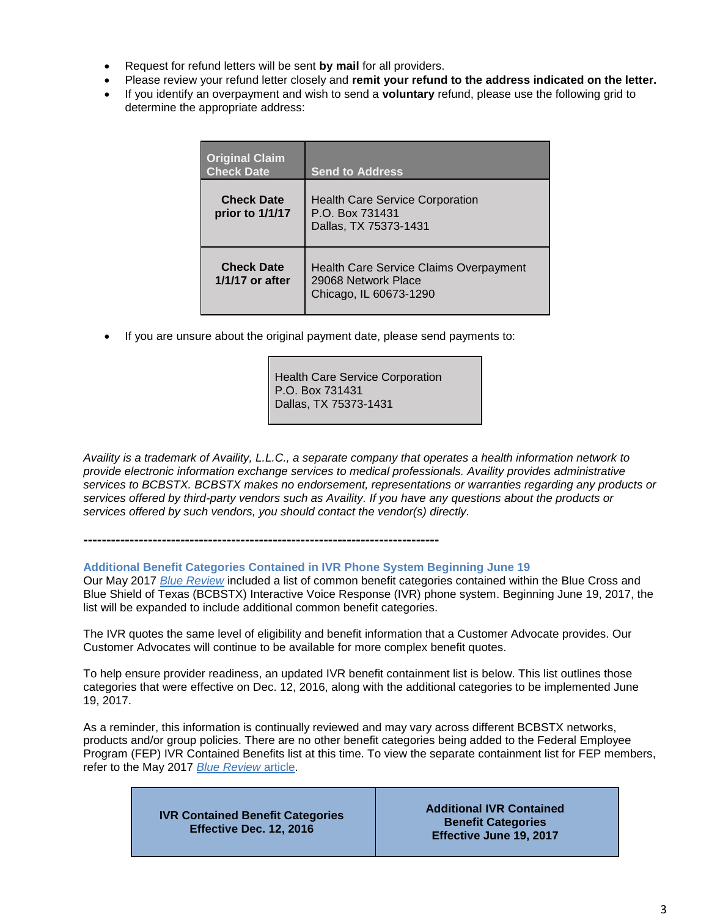- Request for refund letters will be sent **by mail** for all providers.
- Please review your refund letter closely and **remit your refund to the address indicated on the letter.**
- If you identify an overpayment and wish to send a **voluntary** refund, please use the following grid to determine the appropriate address:

| <b>Original Claim</b><br><b>Check Date</b> | <b>Send to Address</b>                                                                         |
|--------------------------------------------|------------------------------------------------------------------------------------------------|
| <b>Check Date</b><br>prior to 1/1/17       | <b>Health Care Service Corporation</b><br>P.O. Box 731431<br>Dallas, TX 75373-1431             |
| <b>Check Date</b><br>1/1/17 or after       | <b>Health Care Service Claims Overpayment</b><br>29068 Network Place<br>Chicago, IL 60673-1290 |

If you are unsure about the original payment date, please send payments to:

Health Care Service Corporation P.O. Box 731431 Dallas, TX 75373-1431

*Availity is a trademark of Availity, L.L.C., a separate company that operates a health information network to provide electronic information exchange services to medical professionals. Availity provides administrative services to BCBSTX. BCBSTX makes no endorsement, representations or warranties regarding any products or services offered by third-party vendors such as Availity. If you have any questions about the products or services offered by such vendors, you should contact the vendor(s) directly.*

**-----------------------------------------------------------------------------**

## **Additional Benefit Categories Contained in IVR Phone System Beginning June 19**

Our May 2017 *[Blue Review](https://www.bcbstx.com/provider/news/bluereview.html)* included a list of common benefit categories contained within the Blue Cross and Blue Shield of Texas (BCBSTX) Interactive Voice Response (IVR) phone system. Beginning June 19, 2017, the list will be expanded to include additional common benefit categories.

The IVR quotes the same level of eligibility and benefit information that a Customer Advocate provides. Our Customer Advocates will continue to be available for more complex benefit quotes.

To help ensure provider readiness, an updated IVR benefit containment list is below. This list outlines those categories that were effective on Dec. 12, 2016, along with the additional categories to be implemented June 19, 2017.

As a reminder, this information is continually reviewed and may vary across different BCBSTX networks, products and/or group policies. There are no other benefit categories being added to the Federal Employee Program (FEP) IVR Contained Benefits list at this time. To view the separate containment list for FEP members, refer to the May 2017 *[Blue Review](https://www.bcbstx.com/provider/news/bluereview.html)* article.

| <b>IVR Contained Benefit Categories</b><br>Effective Dec. 12, 2016 | <b>Additional IVR Contained</b><br><b>Benefit Categories</b><br>Effective June 19, 2017 |
|--------------------------------------------------------------------|-----------------------------------------------------------------------------------------|
|--------------------------------------------------------------------|-----------------------------------------------------------------------------------------|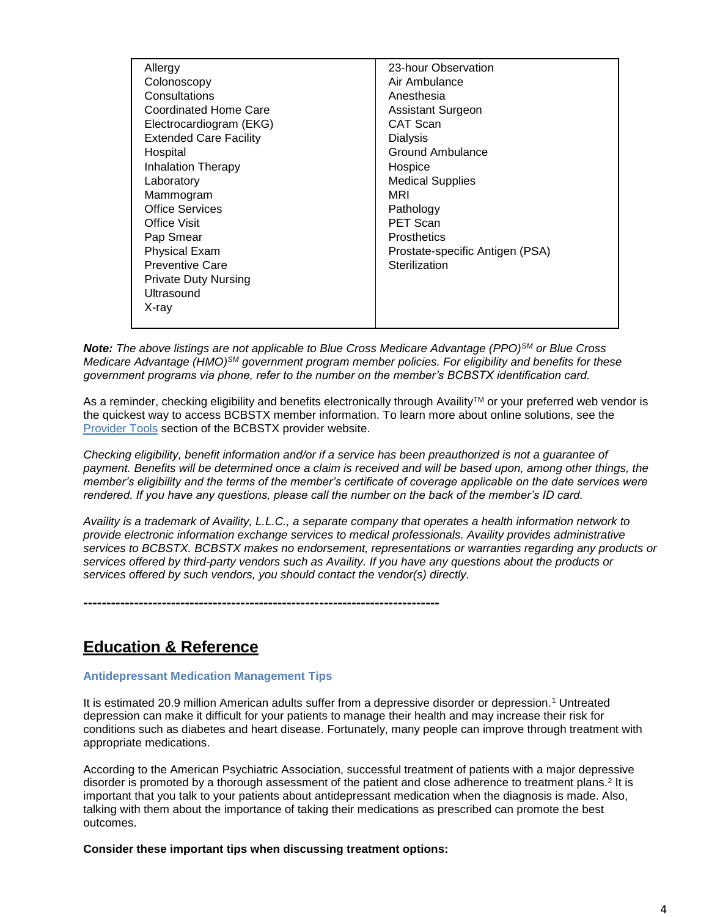| Allergy                       | 23-hour Observation             |
|-------------------------------|---------------------------------|
| Colonoscopy                   | Air Ambulance                   |
| Consultations                 | Anesthesia                      |
| Coordinated Home Care         | <b>Assistant Surgeon</b>        |
| Electrocardiogram (EKG)       | CAT Scan                        |
| <b>Extended Care Facility</b> | Dialysis                        |
| Hospital                      | <b>Ground Ambulance</b>         |
| <b>Inhalation Therapy</b>     | Hospice                         |
| Laboratory                    | <b>Medical Supplies</b>         |
| Mammogram                     | MRI                             |
| <b>Office Services</b>        | Pathology                       |
| <b>Office Visit</b>           | <b>PET Scan</b>                 |
| Pap Smear                     | <b>Prosthetics</b>              |
| <b>Physical Exam</b>          | Prostate-specific Antigen (PSA) |
| <b>Preventive Care</b>        | Sterilization                   |
| <b>Private Duty Nursing</b>   |                                 |
| Ultrasound                    |                                 |
| X-ray                         |                                 |
|                               |                                 |

*Note: The above listings are not applicable to Blue Cross Medicare Advantage (PPO)SM or Blue Cross Medicare Advantage (HMO)SM government program member policies. For eligibility and benefits for these government programs via phone, refer to the number on the member's BCBSTX identification card.* 

As a reminder, checking eligibility and benefits electronically through Availity™ or your preferred web vendor is the quickest way to access BCBSTX member information. To learn more about online solutions, see the [Provider Tools](https://www.bcbstx.com/provider/tools/index.html) section of the BCBSTX provider website.

*Checking eligibility, benefit information and/or if a service has been preauthorized is not a guarantee of payment. Benefits will be determined once a claim is received and will be based upon, among other things, the member's eligibility and the terms of the member's certificate of coverage applicable on the date services were rendered. If you have any questions, please call the number on the back of the member's ID card.*

*Availity is a trademark of Availity, L.L.C., a separate company that operates a health information network to provide electronic information exchange services to medical professionals. Availity provides administrative services to BCBSTX. BCBSTX makes no endorsement, representations or warranties regarding any products or services offered by third-party vendors such as Availity. If you have any questions about the products or services offered by such vendors, you should contact the vendor(s) directly.*

**-----------------------------------------------------------------------------**

## **Education & Reference**

## **Antidepressant Medication Management Tips**

It is estimated 20.9 million American adults suffer from a depressive disorder or depression.<sup>1</sup> Untreated depression can make it difficult for your patients to manage their health and may increase their risk for conditions such as diabetes and heart disease. Fortunately, many people can improve through treatment with appropriate medications.

According to the American Psychiatric Association, successful treatment of patients with a major depressive disorder is promoted by a thorough assessment of the patient and close adherence to treatment plans.<sup>2</sup> It is important that you talk to your patients about antidepressant medication when the diagnosis is made. Also, talking with them about the importance of taking their medications as prescribed can promote the best outcomes.

**Consider these important tips when discussing treatment options:**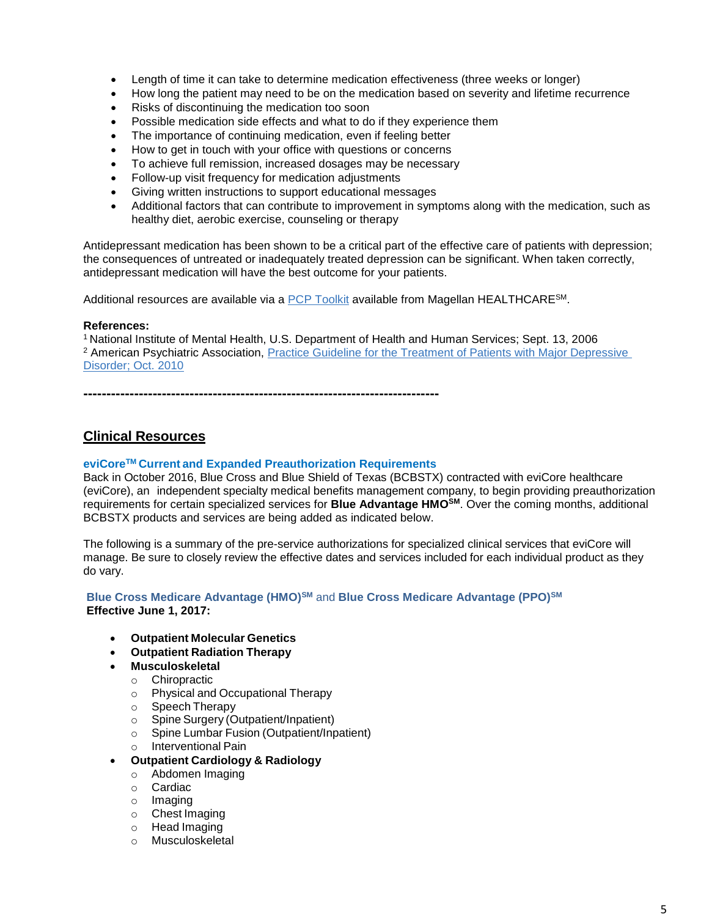- Length of time it can take to determine medication effectiveness (three weeks or longer)
- How long the patient may need to be on the medication based on severity and lifetime recurrence
- Risks of discontinuing the medication too soon
- Possible medication side effects and what to do if they experience them
- The importance of continuing medication, even if feeling better
- How to get in touch with your office with questions or concerns
- To achieve full remission, increased dosages may be necessary
- Follow-up visit frequency for medication adjustments
- Giving written instructions to support educational messages
- Additional factors that can contribute to improvement in symptoms along with the medication, such as healthy diet, aerobic exercise, counseling or therapy

Antidepressant medication has been shown to be a critical part of the effective care of patients with depression; the consequences of untreated or inadequately treated depression can be significant. When taken correctly, antidepressant medication will have the best outcome for your patients.

Additional resources are available via a [PCP Toolkit](http://www.magellanpcptoolkit.com/primary-care-physician-toolkit.aspx?ref=DEFAULT) available from Magellan HEALTHCARESM.

#### **References:**

<sup>1</sup>National Institute of Mental Health, U.S. Department of Health and Human Services; Sept. 13, 2006 <sup>2</sup> American Psychiatric Association, [Practice Guideline for the Treatment of Patients with Major Depressive](http://psychiatryonline.org/pb/assets/raw/sitewide/practice_guidelines/guidelines/mdd.pdf)  [Disorder;](http://psychiatryonline.org/pb/assets/raw/sitewide/practice_guidelines/guidelines/mdd.pdf) Oct. 2010

**-----------------------------------------------------------------------------**

## **Clinical Resources**

#### **eviCoreTM Current and Expanded Preauthorization Requirements**

Back in October 2016, Blue Cross and Blue Shield of Texas (BCBSTX) contracted with eviCore healthcare (eviCore), an independent specialty medical benefits management company, to begin providing preauthorization requirements for certain specialized services for **Blue Advantage HMOSM**. Over the coming months, additional BCBSTX products and services are being added as indicated below.

The following is a summary of the pre-service authorizations for specialized clinical services that eviCore will manage. Be sure to closely review the effective dates and services included for each individual product as they do vary.

#### **Blue Cross Medicare Advantage (HMO)SM** and **Blue Cross Medicare Advantage (PPO)SM Effective June 1, 2017:**

- **Outpatient Molecular Genetics**
- **Outpatient Radiation Therapy**
	- **Musculoskeletal**
	- o Chiropractic
	- o Physical and Occupational Therapy
	- o Speech Therapy
	- o Spine Surgery (Outpatient/Inpatient)
	- o Spine Lumbar Fusion (Outpatient/Inpatient)
	- o Interventional Pain
	- **Outpatient Cardiology & Radiology**
	- o Abdomen Imaging
	- o Cardiac
	- o Imaging
	- o Chest Imaging
	- o Head Imaging
	- o Musculoskeletal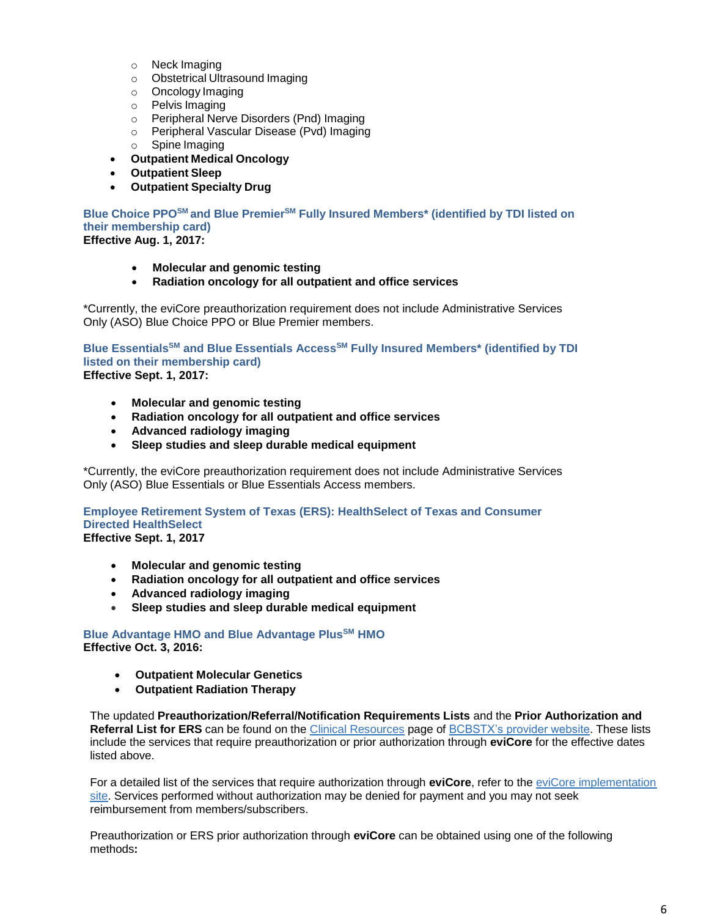- o Neck Imaging
- o Obstetrical Ultrasound Imaging
- o Oncology Imaging
- o Pelvis Imaging
- o Peripheral Nerve Disorders (Pnd) Imaging
- o Peripheral Vascular Disease (Pvd) Imaging
- o Spine Imaging
- **Outpatient Medical Oncology**
- **Outpatient Sleep**
- **Outpatient Specialty Drug**

**Blue Choice PPOSM and Blue PremierSM Fully Insured Members\* (identified by TDI listed on their membership card) Effective Aug. 1, 2017:**

- **Molecular and genomic testing**
- **Radiation oncology for all outpatient and office services**

\*Currently, the eviCore preauthorization requirement does not include Administrative Services Only (ASO) Blue Choice PPO or Blue Premier members.

**Blue EssentialsSM and Blue Essentials AccessSM Fully Insured Members\* (identified by TDI listed on their membership card) Effective Sept. 1, 2017:**

- **Molecular and genomic testing**
- **Radiation oncology for all outpatient and office services**
- **Advanced radiology imaging**
- **Sleep studies and sleep durable medical equipment**

\*Currently, the eviCore preauthorization requirement does not include Administrative Services Only (ASO) Blue Essentials or Blue Essentials Access members.

**Employee Retirement System of Texas (ERS): HealthSelect of Texas and Consumer Directed HealthSelect Effective Sept. 1, 2017** 

- **Molecular and genomic testing**
- **Radiation oncology for all outpatient and office services**
- **Advanced radiology imaging**
- **Sleep studies and sleep durable medical equipment**

**Blue Advantage HMO and Blue Advantage PlusSM HMO Effective Oct. 3, 2016:**

- **Outpatient Molecular Genetics**
- **Outpatient Radiation Therapy**

The updated **Preauthorization/Referral/Notification Requirements Lists** and the **Prior Authorization and Referral List for ERS** can be found on the [Clinical Resources](https://www.bcbstx.com/provider/clinical/index.html) page of [BCBSTX's provider website.](https://www.bcbstx.com/provider/index.html) These lists include the services that require preauthorization or prior authorization through **eviCore** for the effective dates listed above.

For a detailed list of the services that require authorization through **eviCore**, refer to th[e eviCore implementation](https://www.evicore.com/healthplan/BCBSTX)  [site.](https://www.evicore.com/healthplan/BCBSTX) Services performed without authorization may be denied for payment and you may not seek reimbursement from members/subscribers.

Preauthorization or ERS prior authorization through **eviCore** can be obtained using one of the following methods**:**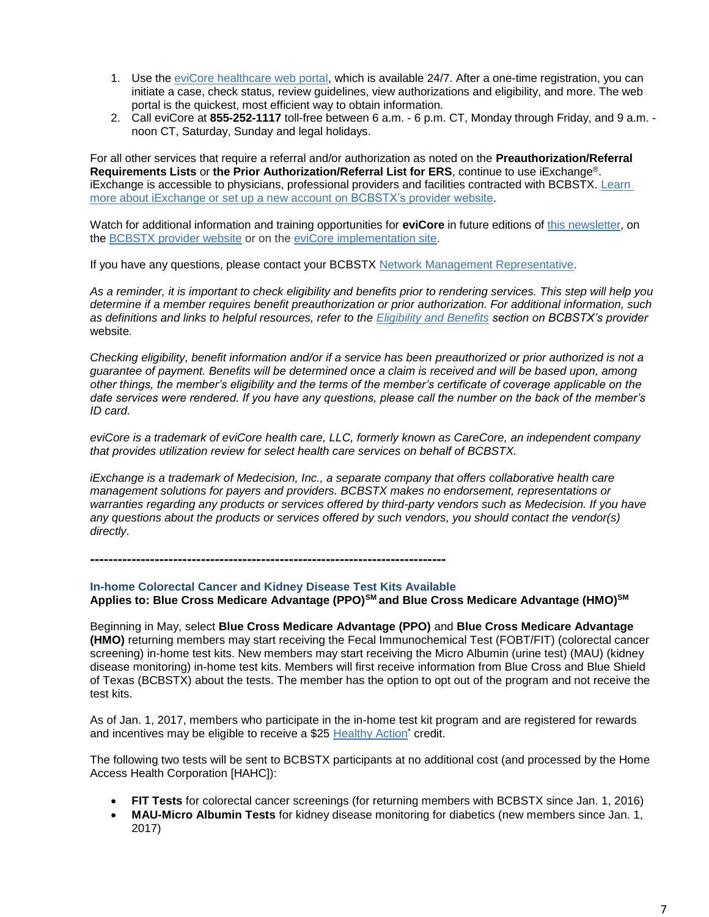- 1. Use th[e eviCore healthcare web portal,](https://www.evicore.com/pages/providerlogin.aspx) which is available 24/7. After a one-time registration, you can initiate a case, check status, review guidelines, view authorizations and eligibility, and more. The web portal is the quickest, most efficient way to obtain information.
- 2. Call eviCore at **855-252-1117** toll-free between 6 a.m. 6 p.m. CT, Monday through Friday, and 9 a.m. noon CT, Saturday, Sunday and legal holidays.

For all other services that require a referral and/or authorization as noted on the **Preauthorization/Referral Requirements Lists** or **the Prior Authorization/Referral List for ERS**, continue to use iExchange®. iExchange is accessible to physicians, professional providers and facilities contracted with BCBSTX. [Learn](https://www.bcbstx.com/provider/tools/iexchange.html)  [more about iExchange or set up a new account](https://www.bcbstx.com/provider/tools/iexchange.html) on BCBSTX's provider website.

Watch for additional information and training opportunities for **eviCore** in future editions o[f this newsletter,](https://www.bcbstx.com/provider/news/bluereview.html) on the [BCBSTX provider website](https://www.bcbstx.com/provider/) or on the [eviCore implementation site.](https://www.evicore.com/healthplan/BCBSTX)

If you have any questions, please contact your BCBSTX [Network Management Representative.](https://www.bcbstx.com/provider/contact_us.html)

*As a reminder, it is important to check eligibility and benefits prior to rendering services. This step will help you determine if a member requires benefit preauthorization or prior authorization. For additional information, such as definitions and links to helpful resources, refer to the [Eligibility and Benefits](https://www.bcbstx.com/provider/claims/eligibility_and_benefits.html) section on BCBSTX's provider*  website*.* 

*Checking eligibility, benefit information and/or if a service has been preauthorized or prior authorized is not a guarantee of payment. Benefits will be determined once a claim is received and will be based upon, among other things, the member's eligibility and the terms of the member's certificate of coverage applicable on the date services were rendered. If you have any questions, please call the number on the back of the member's ID card.*

*eviCore is a trademark of eviCore health care, LLC, formerly known as CareCore, an independent company that provides utilization review for select health care services on behalf of BCBSTX.*

*iExchange is a trademark of Medecision, Inc., a separate company that offers collaborative health care management solutions for payers and providers. BCBSTX makes no endorsement, representations or warranties regarding any products or services offered by third-party vendors such as Medecision. If you have any questions about the products or services offered by such vendors, you should contact the vendor(s) directly.*

**-----------------------------------------------------------------------------**

#### **In-home Colorectal Cancer and Kidney Disease Test Kits Available**

**Applies to: Blue Cross Medicare Advantage (PPO)SM and Blue Cross Medicare Advantage (HMO)SM**

Beginning in May, select **Blue Cross Medicare Advantage (PPO)** and **Blue Cross Medicare Advantage (HMO)** returning members may start receiving the Fecal Immunochemical Test (FOBT/FIT) (colorectal cancer screening) in-home test kits. New members may start receiving the Micro Albumin (urine test) (MAU) (kidney disease monitoring) in-home test kits. Members will first receive information from Blue Cross and Blue Shield of Texas (BCBSTX) about the tests. The member has the option to opt out of the program and not receive the test kits.

As of Jan. 1, 2017, members who participate in the in-home test kit program and are registered for rewards and incentives may be eligible to receive a \$25 [Healthy Action](https://connect.bcbstx.com/medicare/b/weblog/posts/get-rewarded-healthy-actions)\* credit.

The following two tests will be sent to BCBSTX participants at no additional cost (and processed by the Home Access Health Corporation [HAHC]):

- **FIT Tests** for colorectal cancer screenings (for returning members with BCBSTX since Jan. 1, 2016)
- **MAU-Micro Albumin Tests** for kidney disease monitoring for diabetics (new members since Jan. 1, 2017)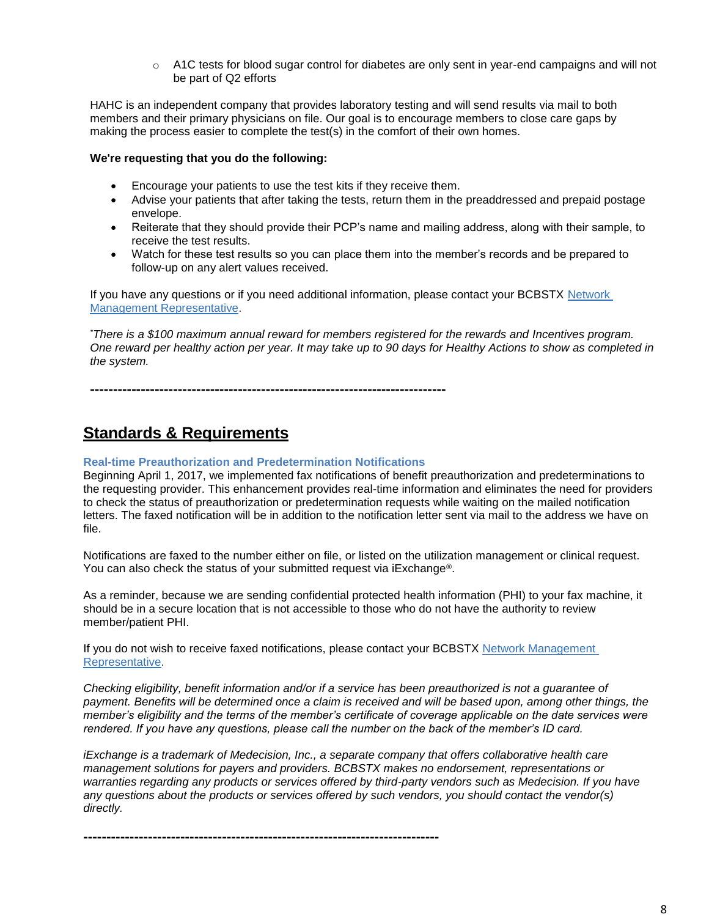$\circ$  A1C tests for blood sugar control for diabetes are only sent in year-end campaigns and will not be part of Q2 efforts

HAHC is an independent company that provides laboratory testing and will send results via mail to both members and their primary physicians on file. Our goal is to encourage members to close care gaps by making the process easier to complete the test(s) in the comfort of their own homes.

#### **We're requesting that you do the following:**

- Encourage your patients to use the test kits if they receive them.
- Advise your patients that after taking the tests, return them in the preaddressed and prepaid postage envelope.
- Reiterate that they should provide their PCP's name and mailing address, along with their sample, to receive the test results.
- Watch for these test results so you can place them into the member's records and be prepared to follow-up on any alert values received.

If you have any questions or if you need additional information, please contact your BCBSTX [Network](https://www.bcbstx.com/provider/contact_us.html)  [Management Representative.](https://www.bcbstx.com/provider/contact_us.html)

*\*There is a \$100 maximum annual reward for members registered for the rewards and Incentives program. One reward per healthy action per year. It may take up to 90 days for Healthy Actions to show as completed in the system.*

**-----------------------------------------------------------------------------**

## **Standards & Requirements**

## **Real-time Preauthorization and Predetermination Notifications**

Beginning April 1, 2017, we implemented fax notifications of benefit preauthorization and predeterminations to the requesting provider. This enhancement provides real-time information and eliminates the need for providers to check the status of preauthorization or predetermination requests while waiting on the mailed notification letters. The faxed notification will be in addition to the notification letter sent via mail to the address we have on file.

Notifications are faxed to the number either on file, or listed on the utilization management or clinical request. You can also check the status of your submitted request via iExchange®.

As a reminder, because we are sending confidential protected health information (PHI) to your fax machine, it should be in a secure location that is not accessible to those who do not have the authority to review member/patient PHI.

If you do not wish to receive faxed notifications, please contact your BCBSTX Network Management [Representative.](https://www.bcbstx.com/provider/contact_us.html)

*Checking eligibility, benefit information and/or if a service has been preauthorized is not a guarantee of payment. Benefits will be determined once a claim is received and will be based upon, among other things, the member's eligibility and the terms of the member's certificate of coverage applicable on the date services were rendered. If you have any questions, please call the number on the back of the member's ID card.*

*iExchange is a trademark of Medecision, Inc., a separate company that offers collaborative health care management solutions for payers and providers. BCBSTX makes no endorsement, representations or warranties regarding any products or services offered by third-party vendors such as Medecision. If you have any questions about the products or services offered by such vendors, you should contact the vendor(s) directly.*

**-----------------------------------------------------------------------------**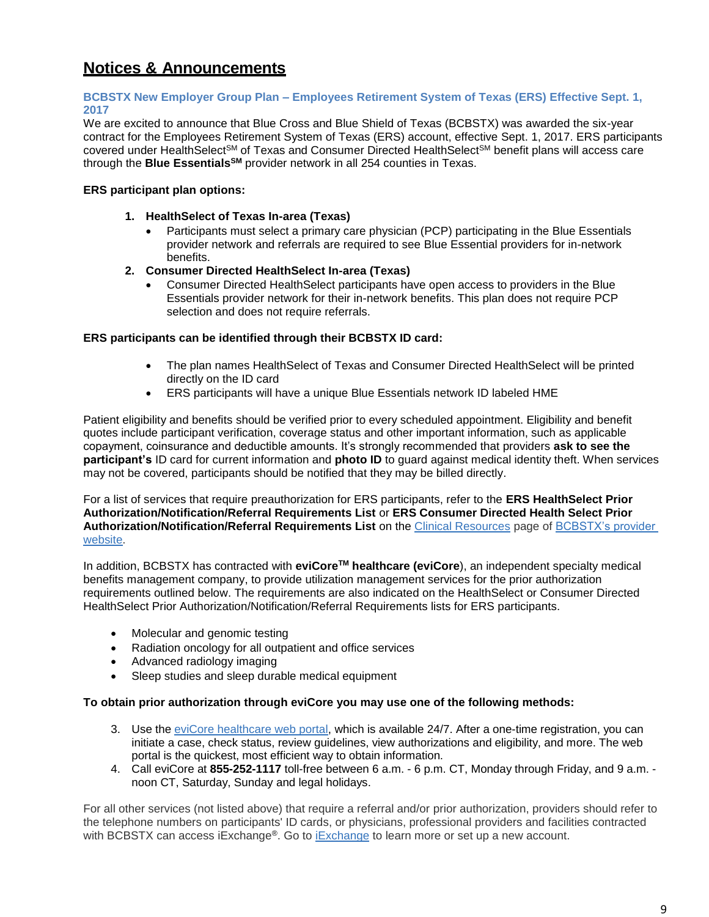## **Notices & Announcements**

#### **BCBSTX New Employer Group Plan – Employees Retirement System of Texas (ERS) Effective Sept. 1, 2017**

We are excited to announce that Blue Cross and Blue Shield of Texas (BCBSTX) was awarded the six-year contract for the Employees Retirement System of Texas (ERS) account, effective Sept. 1, 2017. ERS participants covered under HealthSelect<sup>SM</sup> of Texas and Consumer Directed HealthSelect<sup>SM</sup> benefit plans will access care through the **Blue EssentialsSM** provider network in all 254 counties in Texas.

## **ERS participant plan options:**

- **1. HealthSelect of Texas In-area (Texas)**
	- Participants must select a primary care physician (PCP) participating in the Blue Essentials provider network and referrals are required to see Blue Essential providers for in-network benefits.
- **2. Consumer Directed HealthSelect In-area (Texas)**
	- Consumer Directed HealthSelect participants have open access to providers in the Blue Essentials provider network for their in-network benefits. This plan does not require PCP selection and does not require referrals.

## **ERS participants can be identified through their BCBSTX ID card:**

- The plan names HealthSelect of Texas and Consumer Directed HealthSelect will be printed directly on the ID card
- ERS participants will have a unique Blue Essentials network ID labeled HME

Patient eligibility and benefits should be verified prior to every scheduled appointment. Eligibility and benefit quotes include participant verification, coverage status and other important information, such as applicable copayment, coinsurance and deductible amounts. It's strongly recommended that providers **ask to see the participant's** ID card for current information and **photo ID** to guard against medical identity theft. When services may not be covered, participants should be notified that they may be billed directly.

For a list of services that require preauthorization for ERS participants, refer to the **ERS HealthSelect Prior Authorization/Notification/Referral Requirements List** or **ERS Consumer Directed Health Select Prior Authorization/Notification/Referral Requirements List** on the [Clinical Resources](https://www.bcbstx.com/provider/clinical/index.html) page of [BCBSTX's provider](https://www.bcbstx.com/provider/)  [website.](https://www.bcbstx.com/provider/)

In addition, BCBSTX has contracted with **eviCoreTM healthcare (eviCore**), an independent specialty medical benefits management company, to provide utilization management services for the prior authorization requirements outlined below. The requirements are also indicated on the HealthSelect or Consumer Directed HealthSelect Prior Authorization/Notification/Referral Requirements lists for ERS participants.

- Molecular and genomic testing
- Radiation oncology for all outpatient and office services
- Advanced radiology imaging
- Sleep studies and sleep durable medical equipment

#### **To obtain prior authorization through eviCore you may use one of the following methods:**

- 3. Use th[e eviCore healthcare web portal,](https://www.evicore.com/pages/providerlogin.aspx) which is available 24/7. After a one-time registration, you can initiate a case, check status, review guidelines, view authorizations and eligibility, and more. The web portal is the quickest, most efficient way to obtain information.
- 4. Call eviCore at **855-252-1117** toll-free between 6 a.m. 6 p.m. CT, Monday through Friday, and 9 a.m. noon CT, Saturday, Sunday and legal holidays.

For all other services (not listed above) that require a referral and/or prior authorization, providers should refer to the telephone numbers on participants' ID cards, or physicians, professional providers and facilities contracted with BCBSTX can access iExchange®. Go to [iExchange](https://www.bcbstx.com/provider/tools/iexchange.html) to learn more or set up a new account.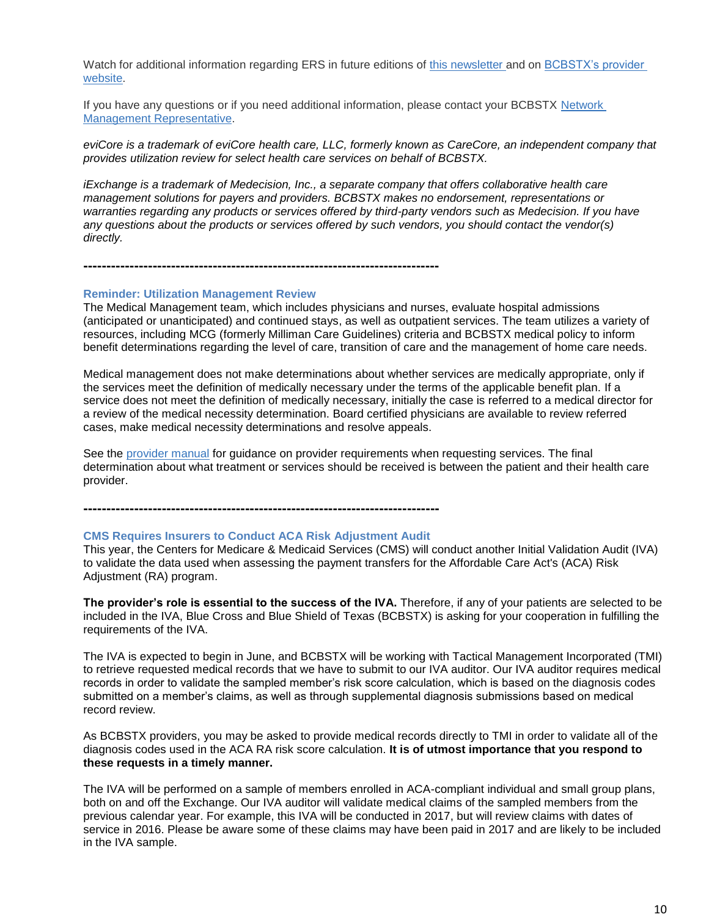Watch for additional information regarding ERS in future editions of [this newsletter](https://www.bcbstx.com/provider/news/bluereview.html) and on BCBSTX's provider [website.](https://www.bcbstx.com/provider)

If you have any questions or if you need additional information, please contact your BCBSTX [Network](https://www.bcbstx.com/provider/contact_us.html#localnetwork)  [Management Representative.](https://www.bcbstx.com/provider/contact_us.html#localnetwork)

*eviCore is a trademark of eviCore health care, LLC, formerly known as CareCore, an independent company that provides utilization review for select health care services on behalf of BCBSTX.*

*iExchange is a trademark of Medecision, Inc., a separate company that offers collaborative health care management solutions for payers and providers. BCBSTX makes no endorsement, representations or warranties regarding any products or services offered by third-party vendors such as Medecision. If you have any questions about the products or services offered by such vendors, you should contact the vendor(s) directly.*

**-----------------------------------------------------------------------------**

#### **Reminder: Utilization Management Review**

The Medical Management team, which includes physicians and nurses, evaluate hospital admissions (anticipated or unanticipated) and continued stays, as well as outpatient services. The team utilizes a variety of resources, including MCG (formerly Milliman Care Guidelines) criteria and BCBSTX medical policy to inform benefit determinations regarding the level of care, transition of care and the management of home care needs.

Medical management does not make determinations about whether services are medically appropriate, only if the services meet the definition of medically necessary under the terms of the applicable benefit plan. If a service does not meet the definition of medically necessary, initially the case is referred to a medical director for a review of the medical necessity determination. Board certified physicians are available to review referred cases, make medical necessity determinations and resolve appeals.

See the [provider manual](https://www.bcbstx.com/provider/gri/index.html) for guidance on provider requirements when requesting services. The final determination about what treatment or services should be received is between the patient and their health care provider.

**-----------------------------------------------------------------------------**

#### **CMS Requires Insurers to Conduct ACA Risk Adjustment Audit**

This year, the Centers for Medicare & Medicaid Services (CMS) will conduct another Initial Validation Audit (IVA) to validate the data used when assessing the payment transfers for the Affordable Care Act's (ACA) Risk Adjustment (RA) program.

The provider's role is essential to the success of the IVA. Therefore, if any of your patients are selected to be included in the IVA, Blue Cross and Blue Shield of Texas (BCBSTX) is asking for your cooperation in fulfilling the requirements of the IVA.

The IVA is expected to begin in June, and BCBSTX will be working with Tactical Management Incorporated (TMI) to retrieve requested medical records that we have to submit to our IVA auditor. Our IVA auditor requires medical records in order to validate the sampled member's risk score calculation, which is based on the diagnosis codes submitted on a member's claims, as well as through supplemental diagnosis submissions based on medical record review.

As BCBSTX providers, you may be asked to provide medical records directly to TMI in order to validate all of the diagnosis codes used in the ACA RA risk score calculation. **It is of utmost importance that you respond to these requests in a timely manner.** 

The IVA will be performed on a sample of members enrolled in ACA-compliant individual and small group plans, both on and off the Exchange. Our IVA auditor will validate medical claims of the sampled members from the previous calendar year. For example, this IVA will be conducted in 2017, but will review claims with dates of service in 2016. Please be aware some of these claims may have been paid in 2017 and are likely to be included in the IVA sample.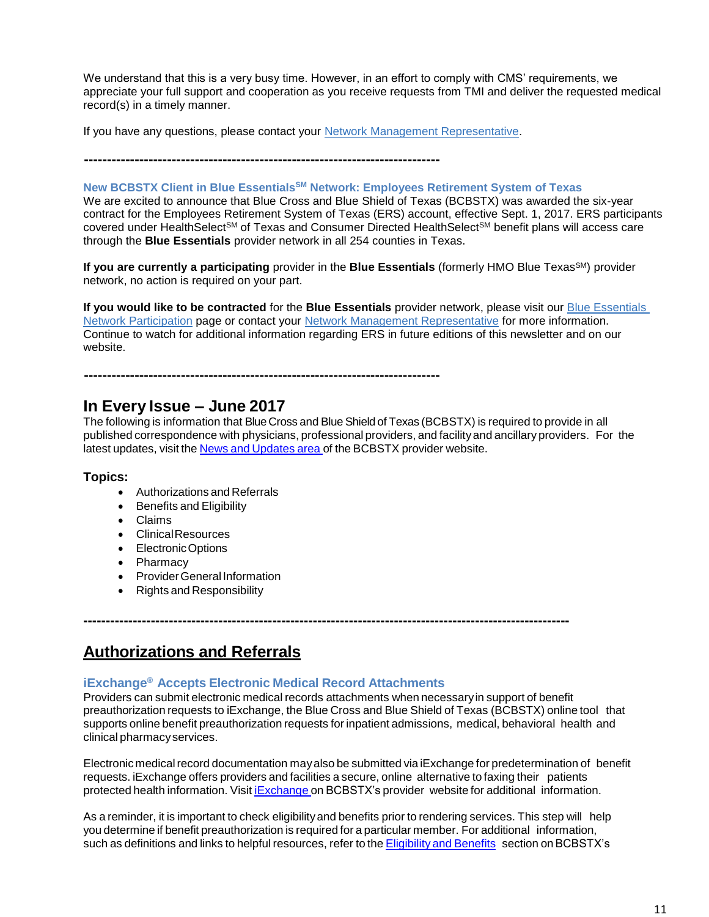We understand that this is a very busy time. However, in an effort to comply with CMS' requirements, we appreciate your full support and cooperation as you receive requests from TMI and deliver the requested medical record(s) in a timely manner.

If you have any questions, please contact your [Network Management Representative](https://www.bcbstx.com/provider/contact_us.html#localnetwork).

**-----------------------------------------------------------------------------**

## **New BCBSTX Client in Blue EssentialsSM Network: Employees Retirement System of Texas**

We are excited to announce that Blue Cross and Blue Shield of Texas (BCBSTX) was awarded the six-year contract for the Employees Retirement System of Texas (ERS) account, effective Sept. 1, 2017. ERS participants covered under HealthSelect<sup>SM</sup> of Texas and Consumer Directed HealthSelect<sup>SM</sup> benefit plans will access care through the **Blue Essentials** provider network in all 254 counties in Texas.

**If you are currently a participating** provider in the **Blue Essentials** (formerly HMO Blue Texas<sup>SM</sup>) provider network, no action is required on your part.

**If you would like to be contracted** for the **Blue Essentials** provider network, please visit our [Blue Essentials](https://www.bcbstx.com/provider/network/blue_essentials_participation.html)  [Network Participation](https://www.bcbstx.com/provider/network/blue_essentials_participation.html) page or contact your [Network Management Representative](https://www.bcbstx.com/provider/contact_us.html#localnetwork) for more information. Continue to watch for additional information regarding ERS in future editions of this newsletter and on our website.

# **-----------------------------------------------------------------------------**

## **In Every Issue – June 2017**

The following is information that BlueCross and Blue Shield of Texas (BCBSTX) is required to provide in all published correspondence with physicians, professional providers, and facilityand ancillary providers. For the latest updates, visit the News and [Updates](http://www.bcbstx.com/provider/news/index.html) area of the BCBSTX provider website.

## **Topics:**

- Authorizations and Referrals
- **•** Benefits and Eligibility
- Claims
- ClinicalResources
- Electronic Options
- Pharmacy
- Provider General Information
- Rights and Responsibility

## **------------------------------------------------------------------------------------------------------------**

## **Authorizations and Referrals**

## **iExchange® Accepts Electronic Medical Record Attachments**

Providers can submit electronic medical records attachments when necessaryin support of benefit preauthorization requests to iExchange, the Blue Cross and Blue Shield of Texas (BCBSTX) online tool that supports online benefit preauthorization requests for inpatient admissions, medical, behavioral health and clinical pharmacyservices.

Electronic medical record documentation may also be submitted via iExchange for predetermination of benefit requests. iExchange offers providers and facilities a secure, online alternative to faxing their patients protected health information. Visit [iExchange](http://www.bcbstx.com/provider/tools/iexchange_index.html) on BCBSTX's provider website for additional information.

As a reminder, it is important to check eligibilityand benefits prior to rendering services. This step will help you determine if benefit preauthorization is required for a particular member. For additional information, such as definitions and links to helpful resources, refer to the [Eligibility](http://www.bcbstx.com/provider/claims/eligibility_and_benefits.html) and Benefits section on BCBSTX's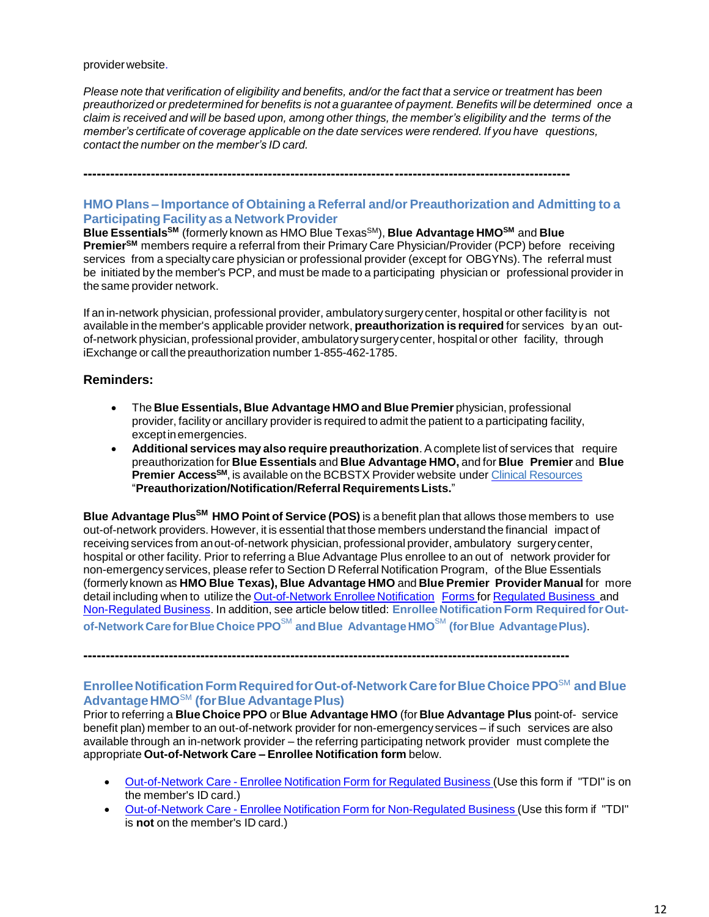#### providerwebsite.

Please note that verification of eligibility and benefits, and/or the fact that a service or treatment has been preauthorized or predetermined for benefits is not a quarantee of payment. Benefits will be determined once a claim is received and will be based upon, among other things, the member's eligibility and the terms of the *member's certificate of coverage applicable on the date services were rendered. If you have questions, contact the number on the member's ID card.*

**------------------------------------------------------------------------------------------------------------**

## **HMO Plans – Importance of Obtaining a Referral and/or Preauthorization and Admitting to a Participating Facility as a NetworkProvider**

**Blue Essentials SM** (formerly known as HMO Blue TexasSM), **Blue Advantage HMOSM** and **Blue PremierSM** members require a referral from their Primary Care Physician/Provider (PCP) before receiving services from a specialty care physician or professional provider (except for OBGYNs). The referral must be initiated by the member's PCP, and must be made to a participating physician or professional provider in the same provider network.

If an in-network physician, professional provider, ambulatory surgerycenter, hospital or other facility is not available in the member's applicable provider network, **preauthorization is required** for services byan outof-network physician, professional provider, ambulatorysurgerycenter, hospital or other facility, through iExchange or call the preauthorization number 1-855-462-1785.

#### **Reminders:**

- The **Blue Essentials, Blue Advantage HMO and Blue Premier** physician, professional provider, facility or ancillary provider is required to admit the patient to a participating facility, exceptinemergencies.
- **Additional services may also require preauthorization**. Acomplete list of services that require preauthorization for **Blue Essentials** and **Blue Advantage HMO,** and for **Blue Premier** and **Blue Premier Access SM**, is available on the BCBSTX Provider website under Clinical [Resources](https://www.bcbstx.com/provider/clinical/index.html) "**Preauthorization/Notification/Referral RequirementsLists.**"

**Blue Advantage PlusSM HMO Point of Service (POS)** is a benefit plan that allows those members to use out-of-network providers. However, it is essential that those members understand the financial impact of receiving services from anout-of-network physician, professional provider, ambulatory surgerycenter, hospital or other facility. Prior to referring a Blue Advantage Plus enrollee to an out of network provider for non-emergencyservices, please refer to Section D Referral Notification Program, of the Blue Essentials (formerly known as **HMO Blue Texas), Blue Advantage HMO** and **Blue Premier Provider Manual** for more detail including when to utilize the [Out-of-Network](https://www.bcbstx.com/provider/pdf/out-of-network-care-enrollee-notification-form.pdf) Enrollee Notification Forms for [Regulated](http://www.bcbstx.com/provider/pdf/out-of-network-care-enrollee-notification-form.pdf) [Business](http://www.bcbstx.com/provider/pdf/out-of-network-care-enrollee-notification-form.pdf) and [Non-Regulated](http://www.bcbstx.com/provider/pdf/out-of-network-care-enrollee-notification-form-nr.pdf) Business. In addition, see article below titled: **EnrolleeNotification Form RequiredforOutof-Network CareforBlueChoice PPO**SM **and Blue AdvantageHMO**SM **(forBlue AdvantagePlus)**.

**------------------------------------------------------------------------------------------------------------**

## **EnrolleeNotificationFormRequiredforOut-of-NetworkCareforBlue ChoicePPO**SM **and Blue AdvantageHMO**SM **(forBlue AdvantagePlus)**

Prior to referring a **Blue Choice PPO** or **Blue Advantage HMO** (for **Blue Advantage Plus** point-of- service benefit plan) member to an out-of-network provider for non-emergency services – if such services are also available through an in-network provider – the referring participating network provider must complete the appropriate **Out-of-Network Care – Enrollee Notification form** below.

- [Out-of-Network](http://www.bcbstx.com/provider/pdf/out-of-network-care-enrollee-notification-form.pdf) Care Enrollee Notification Form for Regulated Business (Use this form if "TDI" is on the member's ID card.)
- [Out-of-Network](http://www.bcbstx.com/provider/pdf/out-of-network-care-enrollee-notification-form-nr.pdf) Care Enrollee Notification Form for Non-Regulated Business (Use this form if "TDI" is **not** on the member's ID card.)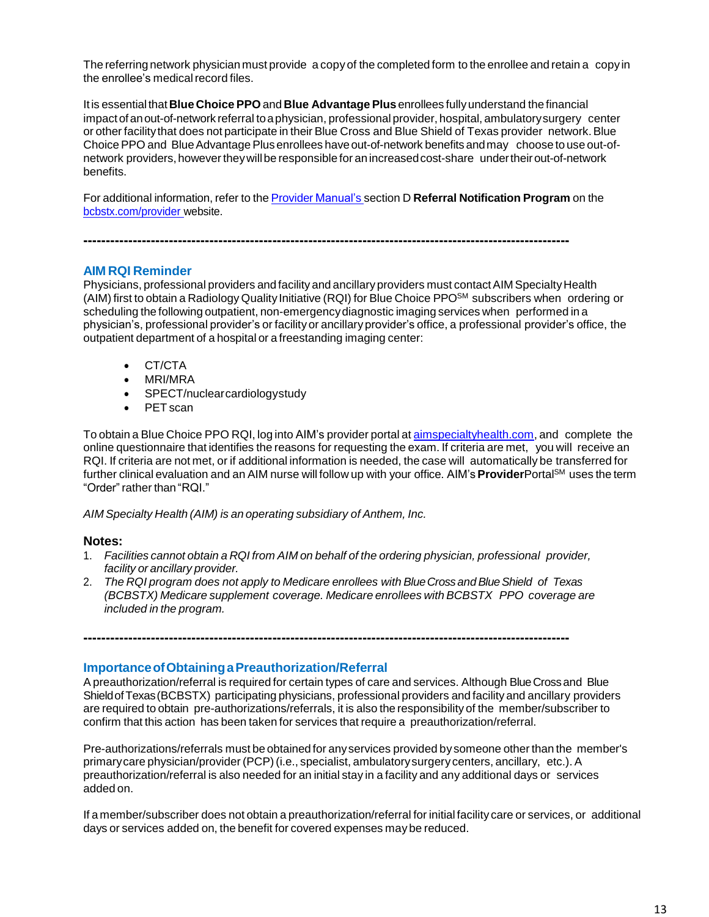The referring network physician must provide a copy of the completed form to the enrollee and retain a copy in the enrollee's medical record files.

Itis essentialthat**Blue Choice PPO** and **Blue Advantage Plus** enrollees fullyunderstand the financial impactof anout-of-network referral toaphysician, professional provider, hospital, ambulatorysurgery center or other facilitythat does not participate in their Blue Cross and Blue Shield of Texas provider network.Blue Choice PPO and Blue Advantage Plus enrollees have out-of-network benefits and may choose to use out-ofnetwork providers, however they will be responsible for an increased cost-share under their out-of-network benefits.

For additional information, refer to the Provider [Manual's](http://www.bcbstx.com/provider/gri/index.html) section D **Referral Notification Program** on the [bcbstx.com/provider](http://www.bcbstx.com/provider/index.html) website.

**------------------------------------------------------------------------------------------------------------**

## **AIM RQI Reminder**

Physicians, professional providers and facility and ancillary providers must contact AIM Specialty Health (AIM)first to obtain a Radiology Quality Initiative (RQI) for Blue Choice PPOSM subscribers when ordering or scheduling the following outpatient, non-emergencydiagnostic imaging services when performed in a physician's, professional provider's or facility or ancillary provider's office, a professional provider's office, the outpatient department of a hospital or a freestanding imaging center:

- CT/CTA
- MRI/MRA
- SPECT/nuclearcardiologystudy
- PET scan

To obtain a Blue Choice PPO RQI, log into AIM's provider portal at [aimspecialtyhealth.com,](http://www.aimspecialtyhealth.com/) and complete the online questionnaire that identifies the reasons for requesting the exam. If criteria are met, you will receive an RQI. If criteria are not met, or if additional information is needed, the case will automatically be transferred for further clinical evaluation and an AIM nurse will follow up with your office. AIM's **Provider**PortalSM uses the term "Order" rather than "RQI."

*AIM Specialty Health (AIM) is an operating subsidiary of Anthem, Inc.*

## **Notes:**

- 1. *Facilities cannot obtain a RQI from AIM on behalf of the ordering physician, professional provider, facility or ancillary provider.*
- 2. *The RQI program does not apply to Medicare enrollees with BlueCrossandBlueShield of Texas (BCBSTX) Medicare supplement coverage. Medicare enrollees with BCBSTX PPO coverage are included in the program.*

**------------------------------------------------------------------------------------------------------------**

## **ImportanceofObtainingaPreauthorization/Referral**

A preauthorization/referral is required for certain types of care and services. Although Blue Cross and Blue ShieldofTexas(BCBSTX) participating physicians, professional providers and facility and ancillary providers are required to obtain pre-authorizations/referrals, it is also the responsibility of the member/subscriber to confirm that this action has been taken for services that require a preauthorization/referral.

Pre-authorizations/referrals must be obtained for anyservices provided by someone other than the member's primarycare physician/provider (PCP)(i.e., specialist, ambulatorysurgery centers, ancillary, etc.). A preauthorization/referral is also needed for an initial stay in a facility and any additional days or services added on.

If a member/subscriber does not obtain a preauthorization/referral for initial facility care or services, or additional days or services added on, the benefit for covered expenses may be reduced.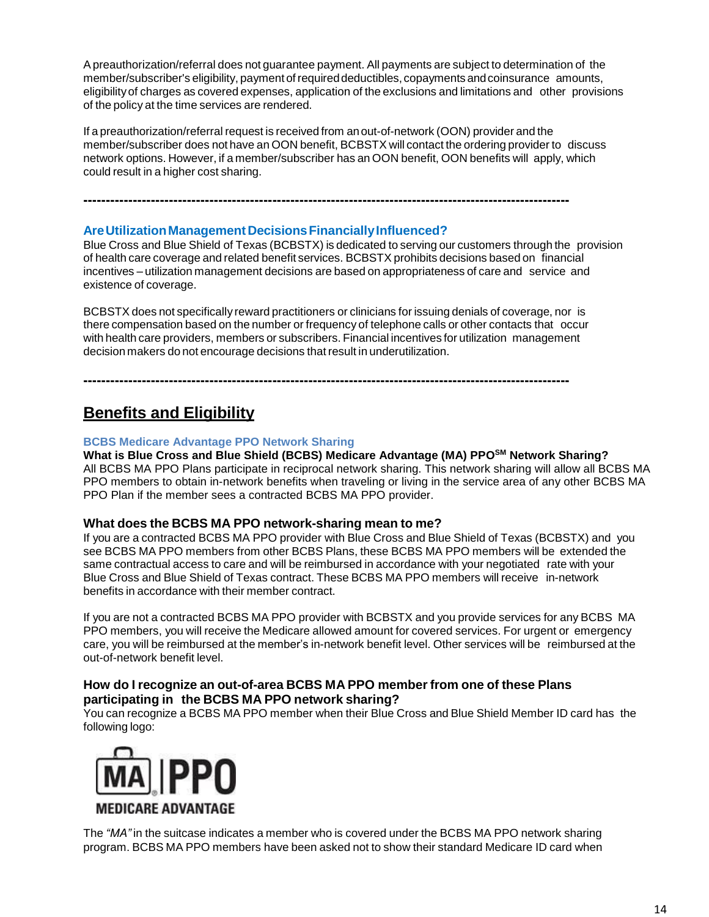Apreauthorization/referral does not guarantee payment. All payments are subject to determination of the member/subscriber's eligibility, payment of required deductibles, copayments and coinsurance amounts, eligibilityof charges as covered expenses, application of the exclusions and limitations and other provisions of the policy at the time services are rendered.

If a preauthorization/referral request is received from anout-of-network (OON) provider and the member/subscriber does not have an OON benefit, BCBSTX will contact the ordering provider to discuss network options. However, if a member/subscriber has an OON benefit, OON benefits will apply, which could result in a higher cost sharing.

**------------------------------------------------------------------------------------------------------------**

#### **AreUtilizationManagementDecisionsFinanciallyInfluenced?**

Blue Cross and Blue Shield of Texas (BCBSTX) is dedicated to serving our customers through the provision of health care coverage and related benefit services. BCBSTX prohibits decisions based on financial incentives – utilization management decisions are based on appropriateness of care and service and existence of coverage.

BCBSTX does not specifically reward practitioners or clinicians for issuing denials of coverage, nor is there compensation based on the number or frequency of telephone calls or other contacts that occur with health care providers, members or subscribers. Financial incentives for utilization management decision makers do not encourage decisions that result in underutilization.

**------------------------------------------------------------------------------------------------------------**

## **Benefits and Eligibility**

#### **BCBS Medicare Advantage PPO Network Sharing**

**What is Blue Cross and Blue Shield (BCBS) Medicare Advantage (MA) PPOSM Network Sharing?** All BCBS MA PPO Plans participate in reciprocal network sharing. This network sharing will allow all BCBS MA PPO members to obtain in-network benefits when traveling or living in the service area of any other BCBS MA PPO Plan if the member sees a contracted BCBS MA PPO provider.

## **What does the BCBS MA PPO network-sharing mean to me?**

If you are a contracted BCBS MA PPO provider with Blue Cross and Blue Shield of Texas (BCBSTX) and you see BCBS MA PPO members from other BCBS Plans, these BCBS MA PPO members will be extended the same contractual access to care and will be reimbursed in accordance with your negotiated rate with your Blue Cross and Blue Shield of Texas contract. These BCBS MA PPO members will receive in-network benefits in accordance with their member contract.

If you are not a contracted BCBS MA PPO provider with BCBSTX and you provide services for any BCBS MA PPO members, you will receive the Medicare allowed amount for covered services. For urgent or emergency care, you will be reimbursed at the member's in-network benefit level. Other services will be reimbursed at the out-of-network benefit level.

## **How do I recognize an out-of-area BCBS MA PPO member from one of these Plans participating in the BCBS MA PPO network sharing?**

You can recognize a BCBS MA PPO member when their Blue Cross and Blue Shield Member ID card has the following logo:



The *"MA"* in the suitcase indicates a member who is covered under the BCBS MA PPO network sharing program. BCBS MA PPO members have been asked not to show their standard Medicare ID card when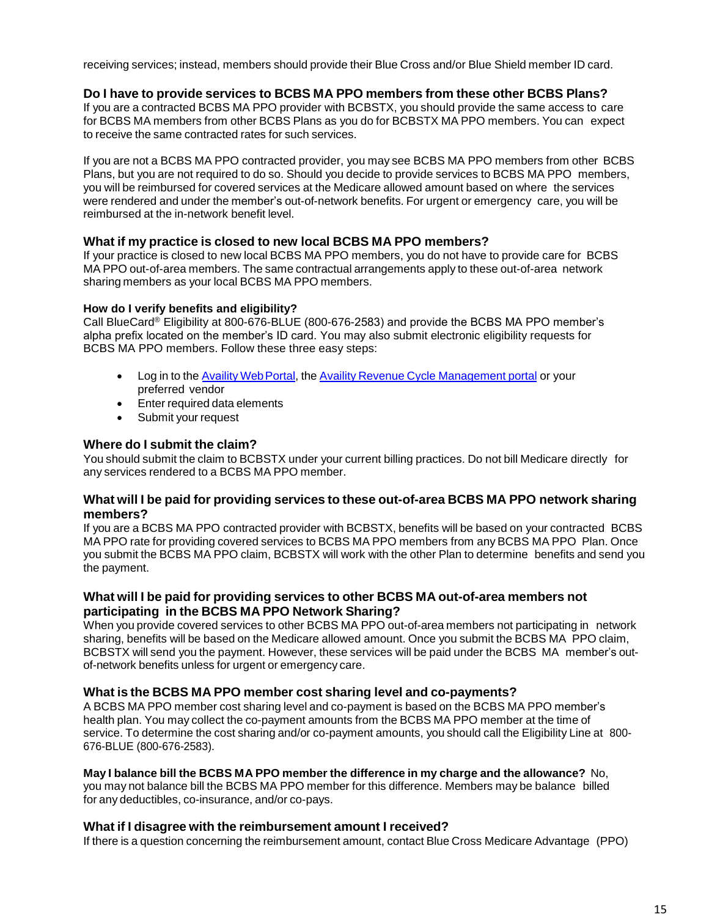receiving services; instead, members should provide their Blue Cross and/or Blue Shield member ID card.

## **Do I have to provide services to BCBS MA PPO members from these other BCBS Plans?**

If you are a contracted BCBS MA PPO provider with BCBSTX, you should provide the same access to care for BCBS MA members from other BCBS Plans as you do for BCBSTX MA PPO members. You can expect to receive the same contracted rates for such services.

If you are not a BCBS MA PPO contracted provider, you may see BCBS MA PPO members from other BCBS Plans, but you are not required to do so. Should you decide to provide services to BCBS MA PPO members, you will be reimbursed for covered services at the Medicare allowed amount based on where the services were rendered and under the member's out-of-network benefits. For urgent or emergency care, you will be reimbursed at the in-network benefit level.

## **What if my practice is closed to new local BCBS MA PPO members?**

If your practice is closed to new local BCBS MA PPO members, you do not have to provide care for BCBS MA PPO out-of-area members. The same contractual arrangements apply to these out-of-area network sharing members as your local BCBS MA PPO members.

## **How do I verify benefits and eligibility?**

Call BlueCard® Eligibility at 800-676-BLUE (800-676-2583) and provide the BCBS MA PPO member's alpha prefix located on the member's ID card. You may also submit electronic eligibility requests for BCBS MA PPO members. Follow these three easy steps:

- Log in to the Availity Web Portal, the [Availity Revenue Cycle Management portal](https://www.availity.com/) or your preferred vendor
- Enter required data elements
- Submit your request

## **Where do I submit the claim?**

You should submit the claim to BCBSTX under your current billing practices. Do not bill Medicare directly for any services rendered to a BCBS MA PPO member.

## **What will I be paid for providing services to these out-of-area BCBS MA PPO network sharing members?**

If you are a BCBS MA PPO contracted provider with BCBSTX, benefits will be based on your contracted BCBS MA PPO rate for providing covered services to BCBS MA PPO members from any BCBS MA PPO Plan. Once you submit the BCBS MA PPO claim, BCBSTX will work with the other Plan to determine benefits and send you the payment.

## **What will I be paid for providing services to other BCBS MA out-of-area members not participating in the BCBS MA PPO Network Sharing?**

When you provide covered services to other BCBS MA PPO out-of-area members not participating in network sharing, benefits will be based on the Medicare allowed amount. Once you submit the BCBS MA PPO claim, BCBSTX will send you the payment. However, these services will be paid under the BCBS MA member's outof-network benefits unless for urgent or emergency care.

## **What is the BCBS MA PPO member cost sharing level and co-payments?**

A BCBS MA PPO member cost sharing level and co-payment is based on the BCBS MA PPO member's health plan. You may collect the co-payment amounts from the BCBS MA PPO member at the time of service. To determine the cost sharing and/or co-payment amounts, you should call the Eligibility Line at 800- 676-BLUE (800-676-2583).

## **May I balance bill the BCBS MA PPO member the difference in my charge and the allowance?** No,

you may not balance bill the BCBS MA PPO member for this difference. Members may be balance billed for any deductibles, co-insurance, and/or co-pays.

## **What if I disagree with the reimbursement amount I received?**

If there is a question concerning the reimbursement amount, contact Blue Cross Medicare Advantage (PPO)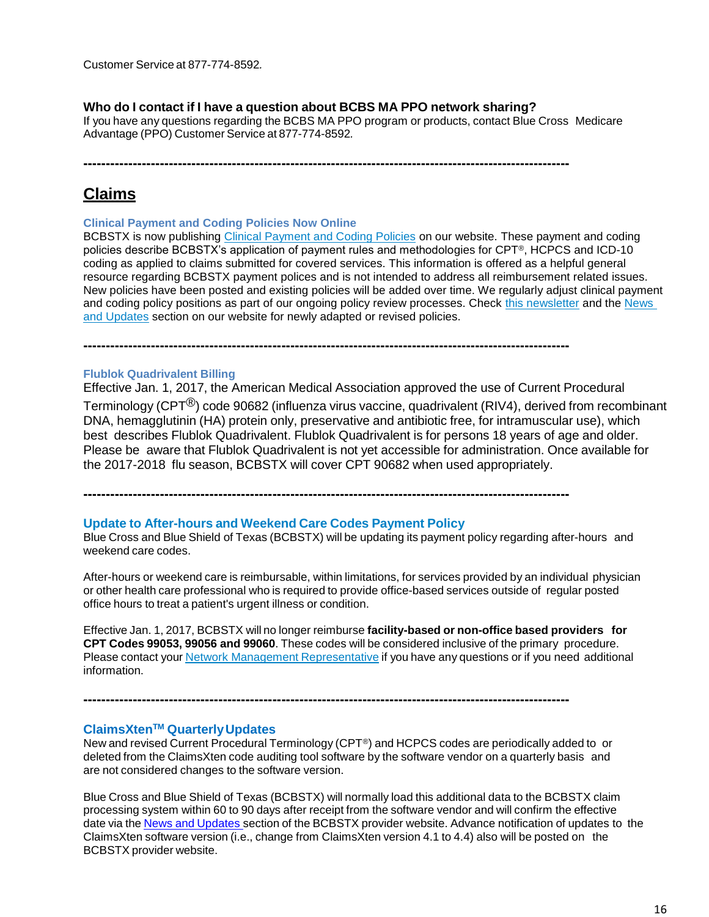#### **Who do I contact if I have a question about BCBS MA PPO network sharing?**

If you have any questions regarding the BCBS MA PPO program or products, contact Blue Cross Medicare Advantage (PPO) Customer Service at 877-774-8592*.*

**------------------------------------------------------------------------------------------------------------**

## **Claims**

**Clinical Payment and Coding Policies Now Online**

BCBSTX is now publishing [Clinical Payment and Coding Policies](http://links.mkt2527.com/ctt?kn=11&ms=MTA5NTM5MzgS1&r=MTkyODM0MTAxODQwS0&b=3&j=MTE2MDM3MTk5MgS2&mt=1&rt=0) on our website. These payment and coding policies describe BCBSTX's application of payment rules and methodologies for CPT®, HCPCS and ICD-10 coding as applied to claims submitted for covered services. This information is offered as a helpful general resource regarding BCBSTX payment polices and is not intended to address all reimbursement related issues. New policies have been posted and existing policies will be added over time. We regularly adjust clinical payment and coding policy positions as part of our ongoing policy review processes. Check [this newsletter](https://www.bcbstx.com/provider/news/bluereview.html) and the [News](https://www.bcbstx.com/provider/news/index.html)  [and Updates](https://www.bcbstx.com/provider/news/index.html) section on our website for newly adapted or revised policies.

## **Flublok Quadrivalent Billing**

Effective Jan. 1, 2017, the American Medical Association approved the use of Current Procedural Terminology (CPT®) code 90682 (influenza virus vaccine, quadrivalent (RIV4), derived from recombinant DNA, hemagglutinin (HA) protein only, preservative and antibiotic free, for intramuscular use), which best describes Flublok Quadrivalent. Flublok Quadrivalent is for persons 18 years of age and older. Please be aware that Flublok Quadrivalent is not yet accessible for administration. Once available for the 2017-2018 flu season, BCBSTX will cover CPT 90682 when used appropriately.

**------------------------------------------------------------------------------------------------------------**

**------------------------------------------------------------------------------------------------------------**

#### **Update to After-hours and Weekend Care Codes Payment Policy**

Blue Cross and Blue Shield of Texas (BCBSTX) will be updating its payment policy regarding after-hours and weekend care codes.

After-hours or weekend care is reimbursable, within limitations, for services provided by an individual physician or other health care professional who is required to provide office-based services outside of regular posted office hours to treat a patient's urgent illness or condition.

Effective Jan. 1, 2017, BCBSTX will no longer reimburse **facility-based or non-office based providers for CPT Codes 99053, 99056 and 99060**. These codes will be considered inclusive of the primary procedure. Please contact your Network Management [Representative](https://www.bcbstx.com/provider/contact_us.html#localnetwork) if you have any questions or if you need additional information.

#### **ClaimsXten TM QuarterlyUpdates**

New and revised Current Procedural Terminology (CPT®) and HCPCS codes are periodically added to or deleted from the ClaimsXten code auditing tool software by the software vendor on a quarterly basis and are not considered changes to the software version.

**------------------------------------------------------------------------------------------------------------**

Blue Cross and Blue Shield of Texas (BCBSTX) will normally load this additional data to the BCBSTX claim processing system within 60 to 90 days after receipt from the software vendor and will confirm the effective date via the News and [Updates](http://www.bcbstx.com/provider/news/index.html) section of the BCBSTX provider website. Advance notification of updates to the ClaimsXten software version (i.e., change from ClaimsXten version 4.1 to 4.4) also will be posted on the BCBSTX provider website.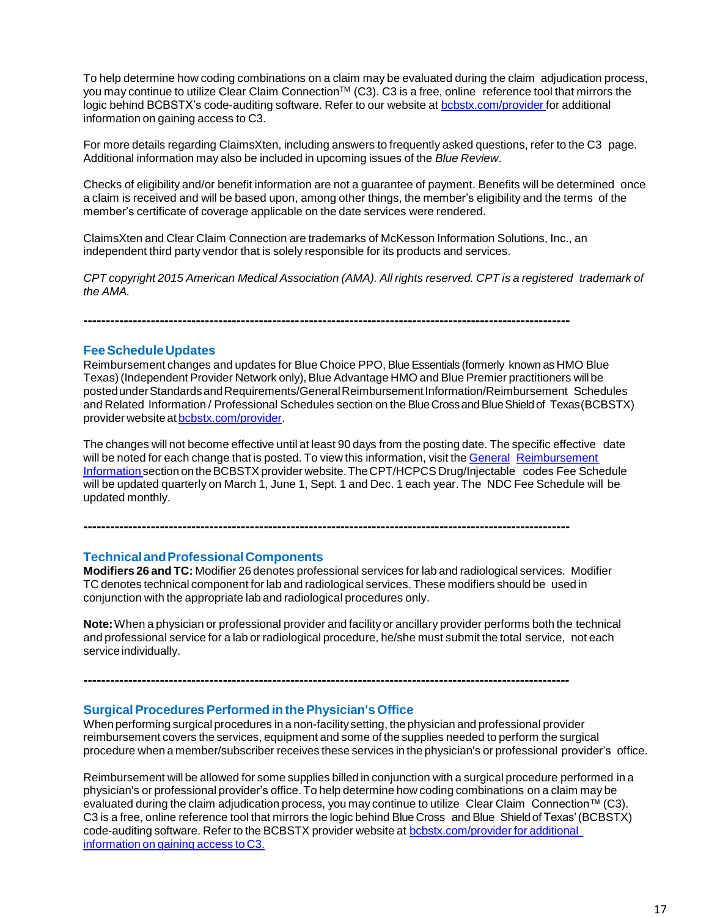To help determine how coding combinations on a claim may be evaluated during the claim adjudication process, you may continue to utilize Clear Claim Connection™ (C3). C3 is a free, online reference tool that mirrors the logic behind BCBSTX's code-auditing software. Refer to our website at [bcbstx.com/provider](http://www.bcbstx.com/provider/) for additional information on gaining access to C3.

For more details regarding ClaimsXten, including answers to frequently asked questions, refer to the C3 page. Additional information may also be included in upcoming issues of the *Blue Review*.

Checks of eligibility and/or benefit information are not a guarantee of payment. Benefits will be determined once a claim is received and will be based upon, among other things, the member's eligibility and the terms of the member's certificate of coverage applicable on the date services were rendered.

ClaimsXten and Clear Claim Connection are trademarks of McKesson Information Solutions, Inc., an independent third party vendor that is solely responsible for its products and services.

*CPT copyright 2015 American Medical Association (AMA). All rights reserved. CPT is a registered trademark of the AMA.*

**------------------------------------------------------------------------------------------------------------**

## **FeeScheduleUpdates**

Reimbursement changes and updates for Blue Choice PPO, Blue Essentials (formerly known as HMO Blue Texas) (Independent Provider Network only), Blue Advantage HMO and Blue Premier practitioners will be postedunderStandardsandRequirements/GeneralReimbursementInformation/Reimbursement Schedules and Related Information / Professional Schedules section on the Blue Cross and Blue Shield of Texas (BCBSTX) provider website at [bcbstx.com/provider.](https://www.bcbstx.com/provider/index.html)

The changes will not become effective until at least 90 days from the posting date. The specific effective date will be noted for each change that is posted. To view this information, visit the General [Reimbursement](https://www.bcbstx.com/provider/gri/index.html) [Information](https://www.bcbstx.com/provider/gri/index.html) section on the BCBSTX provider website. The CPT/HCPCS Drug/Injectable codes Fee Schedule will be updated quarterly on March 1, June 1, Sept. 1 and Dec. 1 each year. The NDC Fee Schedule will be updated monthly.

## **TechnicalandProfessionalComponents**

**Modifiers 26 and TC:** Modifier 26 denotes professional services for lab and radiological services. Modifier TC denotes technical component for lab and radiological services. These modifiers should be used in conjunction with the appropriate lab and radiological procedures only.

**------------------------------------------------------------------------------------------------------------**

**------------------------------------------------------------------------------------------------------------**

**Note:**When a physician or professional provider and facility or ancillary provider performs both the technical and professional service for a lab or radiological procedure, he/she must submit the total service, not each service individually.

#### **SurgicalProceduresPerformed inthePhysician's Office**

When performing surgical procedures in a non-facilitysetting, the physician and professional provider reimbursement covers the services, equipment and some of the supplies needed to perform the surgical procedure when a member/subscriber receives these services in the physician's or professional provider's office.

Reimbursement will be allowed for some supplies billed in conjunction with a surgical procedure performed in a physician's or professional provider's office. To help determine how coding combinations on a claim may be evaluated during the claim adjudication process, you may continue to utilize Clear Claim Connection™ (C3). C3 is a free, online reference tool that mirrors the logic behind Blue Cross and Blue Shieldof Texas'(BCBSTX) code-auditing software. Refer to the BCBSTX provider website at [bcbstx.com/provider](https://www.bcbstx.com/provider/tools/clear_claim_connection.html) for additional [information](https://www.bcbstx.com/provider/tools/clear_claim_connection.html) on gaining access to C3.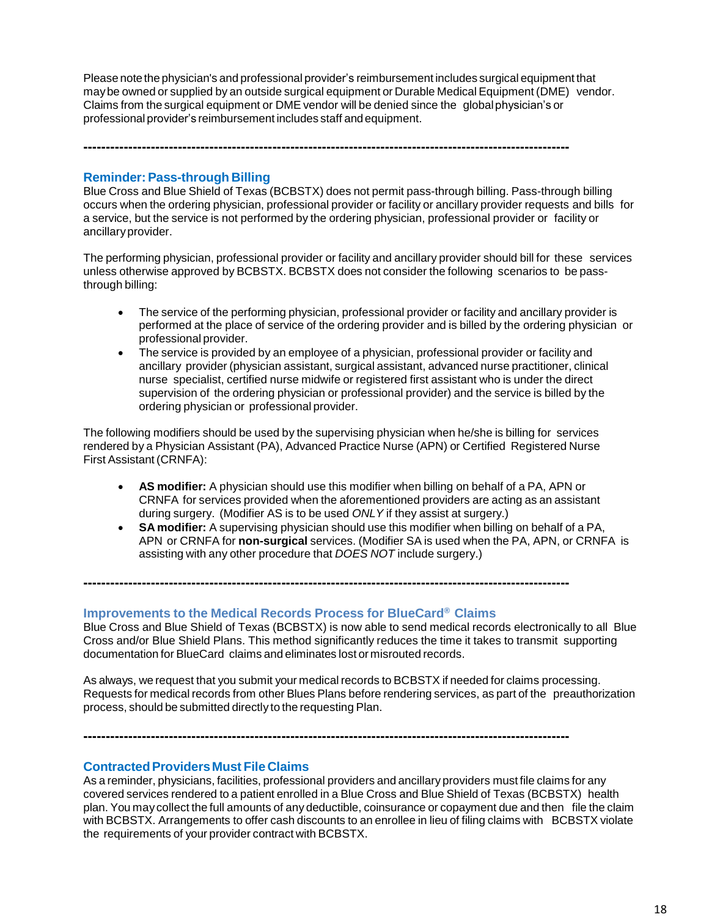Please note the physician's and professional provider's reimbursement includes surgical equipment that maybe owned or supplied by an outside surgical equipment or Durable Medical Equipment (DME) vendor. Claims from the surgical equipment or DME vendor will be denied since the globalphysician's or professional provider's reimbursement includes staff andequipment.

**------------------------------------------------------------------------------------------------------------**

#### **Reminder:Pass-through Billing**

Blue Cross and Blue Shield of Texas (BCBSTX) does not permit pass-through billing. Pass-through billing occurs when the ordering physician, professional provider or facility or ancillary provider requests and bills for a service, but the service is not performed by the ordering physician, professional provider or facility or ancillaryprovider.

The performing physician, professional provider or facility and ancillary provider should bill for these services unless otherwise approved by BCBSTX. BCBSTX does not consider the following scenarios to be passthrough billing:

- The service of the performing physician, professional provider or facility and ancillary provider is performed at the place of service of the ordering provider and is billed by the ordering physician or professional provider.
- The service is provided by an employee of a physician, professional provider or facility and ancillary provider (physician assistant, surgical assistant, advanced nurse practitioner, clinical nurse specialist, certified nurse midwife or registered first assistant who is under the direct supervision of the ordering physician or professional provider) and the service is billed by the ordering physician or professional provider.

The following modifiers should be used by the supervising physician when he/she is billing for services rendered by a Physician Assistant (PA), Advanced Practice Nurse (APN) or Certified Registered Nurse First Assistant (CRNFA):

- **AS modifier:** A physician should use this modifier when billing on behalf of a PA, APN or CRNFA for services provided when the aforementioned providers are acting as an assistant during surgery. (Modifier AS is to be used *ONLY* if they assist at surgery.)
- **SA modifier:** A supervising physician should use this modifier when billing on behalf of a PA, APN or CRNFA for **non-surgical** services. (Modifier SA is used when the PA, APN, or CRNFA is assisting with any other procedure that *DOES NOT* include surgery.)

**Improvements to the Medical Records Process for BlueCard ® Claims**

**------------------------------------------------------------------------------------------------------------**

**------------------------------------------------------------------------------------------------------------**

Blue Cross and Blue Shield of Texas (BCBSTX) is now able to send medical records electronically to all Blue Cross and/or Blue Shield Plans. This method significantly reduces the time it takes to transmit supporting documentation for BlueCard claims and eliminates lost or misrouted records.

As always, we request that you submit your medical records to BCBSTX if needed for claims processing. Requests for medical records from other Blues Plans before rendering services, as part of the preauthorization process, should be submitted directly to the requesting Plan.

#### **ContractedProvidersMust File Claims**

As a reminder, physicians, facilities, professional providers and ancillary providers must file claims for any covered services rendered to a patient enrolled in a Blue Cross and Blue Shield of Texas (BCBSTX) health plan. You may collect the full amounts of any deductible, coinsurance or copayment due and then file the claim with BCBSTX. Arrangements to offer cash discounts to an enrollee in lieu of filing claims with BCBSTX violate the requirements of your provider contract with BCBSTX.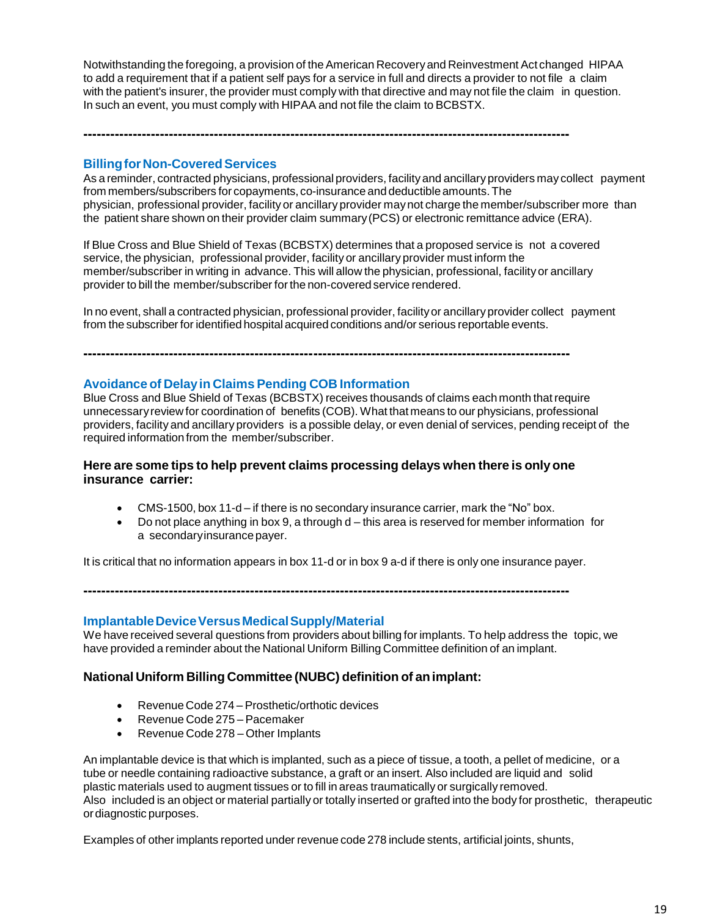Notwithstanding the foregoing, a provision of theAmerican Recoveryand Reinvestment Act changed HIPAA to add a requirement that if a patient self pays for a service in full and directs a provider to not file a claim with the patient's insurer, the provider must comply with that directive and may not file the claim in question. In such an event, you must comply with HIPAA and not file the claim to BCBSTX.

**------------------------------------------------------------------------------------------------------------**

## **Billing for Non-Covered Services**

As a reminder, contracted physicians, professional providers, facility and ancillary providers may collect payment from members/subscribers for copayments, co-insurance and deductible amounts.The physician, professional provider, facility or ancillary provider maynot charge the member/subscriber more than the patient share shown on their provider claim summary(PCS) or electronic remittance advice (ERA).

If Blue Cross and Blue Shield of Texas (BCBSTX) determines that a proposed service is not a covered service, the physician, professional provider, facility or ancillary provider must inform the member/subscriber in writing in advance. This will allow the physician, professional, facility or ancillary provider to bill the member/subscriber forthe non-covered service rendered.

In no event, shall a contracted physician, professional provider, facilityor ancillaryprovider collect payment from the subscriber for identified hospital acquired conditions and/or serious reportable events.

**------------------------------------------------------------------------------------------------------------**

#### **Avoidance of Delayin Claims Pending COB Information**

Blue Cross and Blue Shield of Texas (BCBSTX) receives thousands of claims each month thatrequire unnecessaryreview for coordination of benefits (COB). What that means to our physicians, professional providers, facility and ancillary providers is a possible delay, or even denial of services, pending receipt of the required information from the member/subscriber.

## **Here are some tips to help prevent claims processing delays when there is onlyone insurance carrier:**

- CMS-1500, box 11-d if there is no secondary insurance carrier, mark the "No" box.
- Do not place anything in box 9, a through d this area is reserved for member information for a secondaryinsurancepayer.

It is critical that no information appears in box 11-d or in box 9 a-d if there is only one insurance payer.

**------------------------------------------------------------------------------------------------------------**

#### **ImplantableDeviceVersusMedicalSupply/Material**

We have received several questions from providers about billing for implants. To help address the topic, we have provided a reminder about the National Uniform Billing Committee definition of an implant.

## **National Uniform Billing Committee (NUBC) definition of animplant:**

- Revenue Code 274 Prosthetic/orthotic devices
- Revenue Code 275 Pacemaker
- Revenue Code 278 Other Implants

An implantable device is that which is implanted, such as a piece of tissue, a tooth, a pellet of medicine, or a tube or needle containing radioactive substance, a graft or an insert. Also included are liquid and solid plastic materials used to augment tissues or to fill in areas traumatically or surgically removed. Also included is an object or material partially or totally inserted or grafted into the body for prosthetic, therapeutic ordiagnostic purposes.

Examples of other implants reported under revenue code 278 include stents, artificial joints, shunts,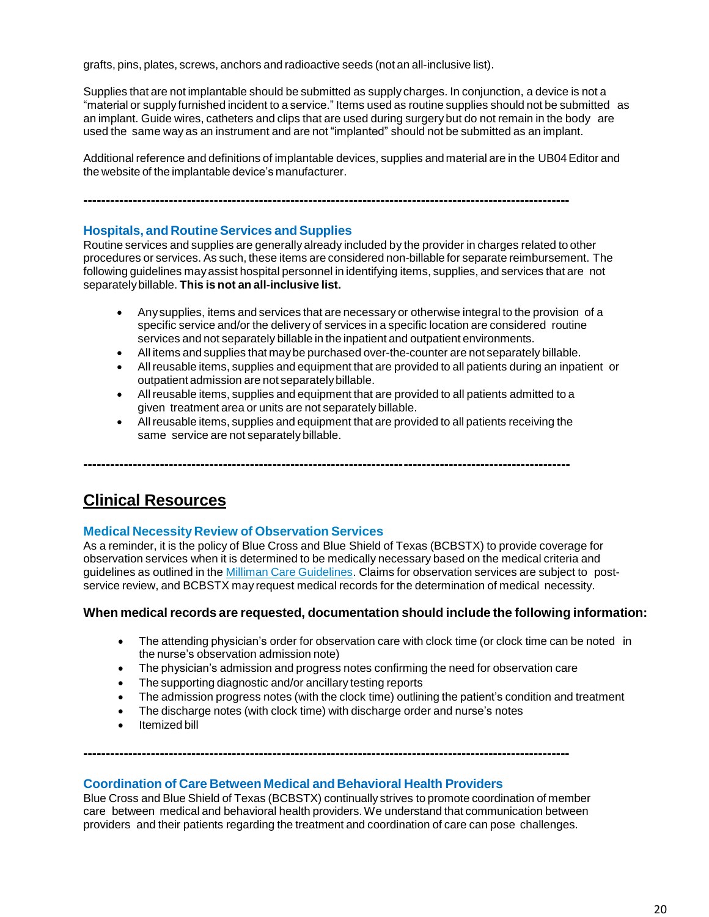grafts, pins, plates, screws, anchors and radioactive seeds (not an all-inclusive list).

Supplies that are not implantable should be submitted as supply charges. In conjunction, a device is not a "material or supply furnished incident to a service." Items used as routine supplies should not be submitted as an implant. Guide wires, catheters and clips that are used during surgery but do not remain in the body are used the same way as an instrument and are not "implanted" should not be submitted as an implant.

Additional reference and definitions of implantable devices, supplies and material are in the UB04 Editor and the website of the implantable device's manufacturer.

**------------------------------------------------------------------------------------------------------------**

#### **Hospitals, and Routine Services and Supplies**

Routine services and supplies are generally already included by the provider in charges related to other procedures or services. As such, these items are considered non-billable for separate reimbursement. The following guidelines mayassist hospital personnel in identifying items, supplies, and services that are not separatelybillable. **This is not an all-inclusive list.**

- Anysupplies, items and services that are necessary or otherwise integral to the provision of a specific service and/or the delivery of services in a specific location are considered routine services and not separately billable in the inpatient and outpatient environments.
- All items and supplies that maybe purchased over-the-counter are not separately billable.
- Allreusable items, supplies and equipment that are provided to all patients during an inpatient or outpatient admission are not separatelybillable.
- Allreusable items, supplies and equipment that are provided to all patients admitted to a given treatment area or units are not separately billable.
- Allreusable items, supplies and equipment that are provided to all patients receiving the same service are not separately billable.

**------------------------------------------------------------------------------------------------------------**

## **Clinical Resources**

## **Medical Necessity Review of Observation Services**

As a reminder, it is the policy of Blue Cross and Blue Shield of Texas (BCBSTX) to provide coverage for observation services when it is determined to be medically necessary based on the medical criteria and guidelines as outlined in the Milliman Care [Guidelines.](https://www.mcg.com/care-guidelines/care-guidelines/?gclid=EAIaIQobChMI_PTXromB3QIVBgtpCh09pw0pEAAYASAAEgJaQfD_BwE) Claims for observation services are subject to postservice review, and BCBSTX may request medical records for the determination of medical necessity.

## **When medical records are requested, documentation should include the following information:**

- The attending physician's order for observation care with clock time (or clock time can be noted in the nurse's observation admission note)
- The physician's admission and progress notes confirming the need for observation care
- The supporting diagnostic and/or ancillary testing reports
- The admission progress notes (with the clock time) outlining the patient's condition and treatment
- The discharge notes (with clock time) with discharge order and nurse's notes

**------------------------------------------------------------------------------------------------------------**

Itemized bill

#### **Coordination of Care Between Medical and Behavioral Health Providers**

Blue Cross and Blue Shield of Texas (BCBSTX) continually strives to promote coordination of member care between medical and behavioral health providers.We understand that communication between providers and their patients regarding the treatment and coordination of care can pose challenges.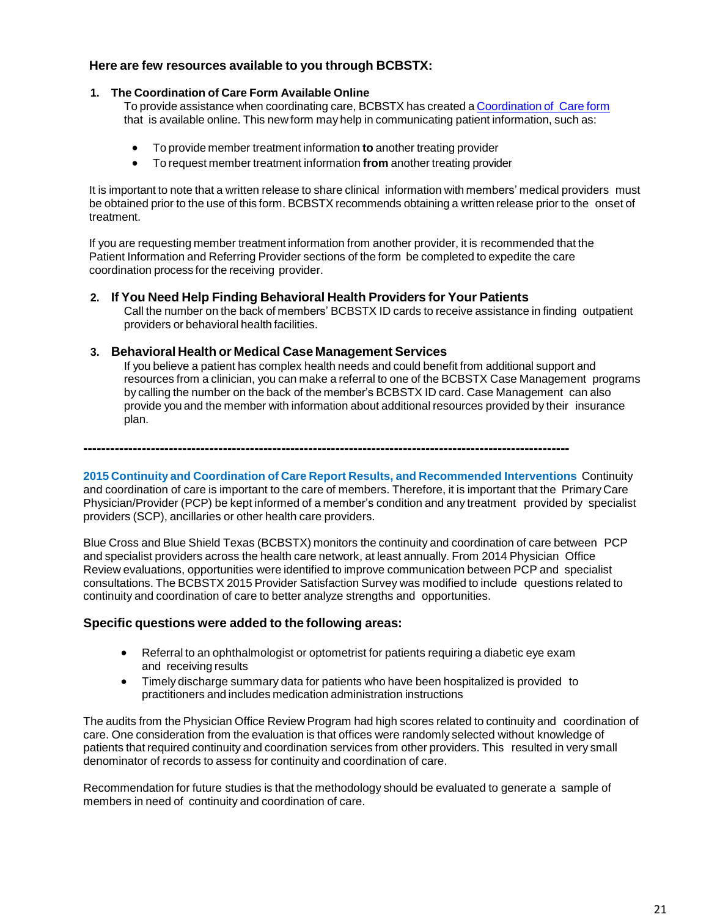## **Here are few resources available to you through BCBSTX:**

#### **1. The Coordination of Care Form Available Online**

To provide assistance when coordinating care, BCBSTX has created a [Coordination](http://www.bcbstx.com/provider/pdf/bh_coordination_care.pdf) of Care form that is available online. This new form may help in communicating patient information, such as:

- To provide member treatment information **to** another treating provider
- To request member treatment information **from** another treating provider

It is important to note that a written release to share clinical information with members' medical providers must be obtained prior to the use of this form. BCBSTX recommends obtaining a written release prior to the onset of treatment.

If you are requesting member treatment information from another provider, it is recommended that the Patient Information and Referring Provider sections of the form be completed to expedite the care coordination process for the receiving provider.

#### **2. If You Need Help Finding Behavioral Health Providers for Your Patients**

Call the number on the back of members' BCBSTX ID cards to receive assistance in finding outpatient providers or behavioral health facilities.

## **3. Behavioral Health or Medical Case Management Services**

If you believe a patient has complex health needs and could benefit from additional support and resources from a clinician, you can make a referral to one of the BCBSTX Case Management programs by calling the number on the back of the member's BCBSTX ID card. Case Management can also provide you and the member with information about additional resources provided by their insurance plan.

**------------------------------------------------------------------------------------------------------------**

**2015 Continuity and Coordination of Care Report Results, and Recommended Interventions** Continuity and coordination of care is important to the care of members. Therefore, it is important that the PrimaryCare Physician/Provider (PCP) be kept informed of a member's condition and any treatment provided by specialist providers (SCP), ancillaries or other health care providers.

Blue Cross and Blue Shield Texas (BCBSTX) monitors the continuity and coordination of care between PCP and specialist providers across the health care network, at least annually. From 2014 Physician Office Review evaluations, opportunities were identified to improve communication between PCP and specialist consultations. The BCBSTX 2015 Provider Satisfaction Survey was modified to include questions related to continuity and coordination of care to better analyze strengths and opportunities.

## **Specific questions were added to the following areas:**

- Referral to an ophthalmologist or optometrist for patients requiring a diabetic eye exam and receiving results
- Timely discharge summary data for patients who have been hospitalized is provided to practitioners and includes medication administration instructions

The audits from the Physician Office Review Program had high scores related to continuity and coordination of care. One consideration from the evaluation is that offices were randomly selected without knowledge of patients that required continuity and coordination services from other providers. This resulted in very small denominator of records to assess for continuity and coordination of care.

Recommendation for future studies is that the methodology should be evaluated to generate a sample of members in need of continuity and coordination of care.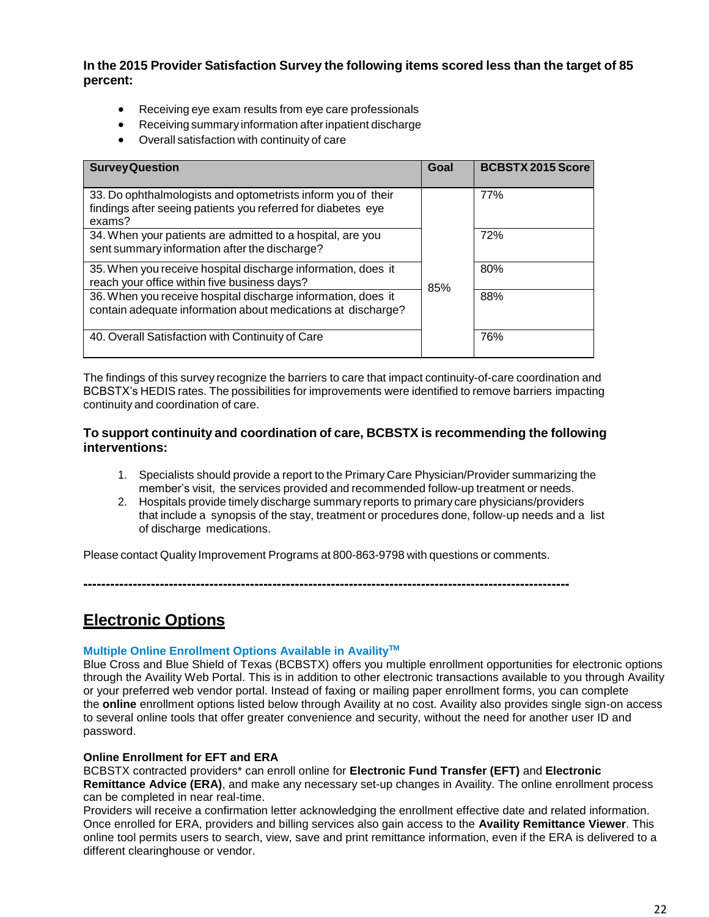**In the 2015 Provider Satisfaction Survey the following items scored less than the target of 85 percent:**

- Receiving eye exam results from eye care professionals
- Receiving summary information after inpatient discharge
- Overall satisfaction with continuity of care

| <b>Survey Question</b>                                                                                                                 | Goal | <b>BCBSTX 2015 Score</b> |
|----------------------------------------------------------------------------------------------------------------------------------------|------|--------------------------|
| 33. Do ophthalmologists and optometrists inform you of their<br>findings after seeing patients you referred for diabetes eye<br>exams? |      | 77%                      |
| 34. When your patients are admitted to a hospital, are you<br>sent summary information after the discharge?                            |      | 72%                      |
| 35. When you receive hospital discharge information, does it<br>reach your office within five business days?                           | 85%  | 80%                      |
| 36. When you receive hospital discharge information, does it<br>contain adequate information about medications at discharge?           |      | 88%                      |
| 40. Overall Satisfaction with Continuity of Care                                                                                       |      | 76%                      |

The findings of this survey recognize the barriers to care that impact continuity-of-care coordination and BCBSTX's HEDIS rates. The possibilities for improvements were identified to remove barriers impacting continuity and coordination of care.

## **To support continuity and coordination of care, BCBSTX is recommending the following interventions:**

- 1. Specialists should provide a report to the Primary Care Physician/Provider summarizing the member's visit, the services provided and recommended follow-up treatment or needs.
- 2. Hospitals provide timely discharge summary reports to primary care physicians/providers that include a synopsis of the stay, treatment or procedures done, follow-up needs and a list of discharge medications.

Please contact Quality Improvement Programs at 800-863-9798 with questions or comments.

**------------------------------------------------------------------------------------------------------------**

**Electronic Options**

## **Multiple Online Enrollment Options Available in AvailityTM**

Blue Cross and Blue Shield of Texas (BCBSTX) offers you multiple enrollment opportunities for electronic options through the Availity Web Portal. This is in addition to other electronic transactions available to you through Availity or your preferred web vendor portal. Instead of faxing or mailing paper enrollment forms, you can complete the **online** enrollment options listed below through Availity at no cost. Availity also provides single sign-on access to several online tools that offer greater convenience and security, without the need for another user ID and password.

## **Online Enrollment for EFT and ERA**

BCBSTX contracted providers\* can enroll online for **Electronic Fund Transfer (EFT)** and **Electronic Remittance Advice (ERA)**, and make any necessary set-up changes in Availity. The online enrollment process can be completed in near real-time.

Providers will receive a confirmation letter acknowledging the enrollment effective date and related information. Once enrolled for ERA, providers and billing services also gain access to the **Availity Remittance Viewer**. This online tool permits users to search, view, save and print remittance information, even if the ERA is delivered to a different clearinghouse or vendor.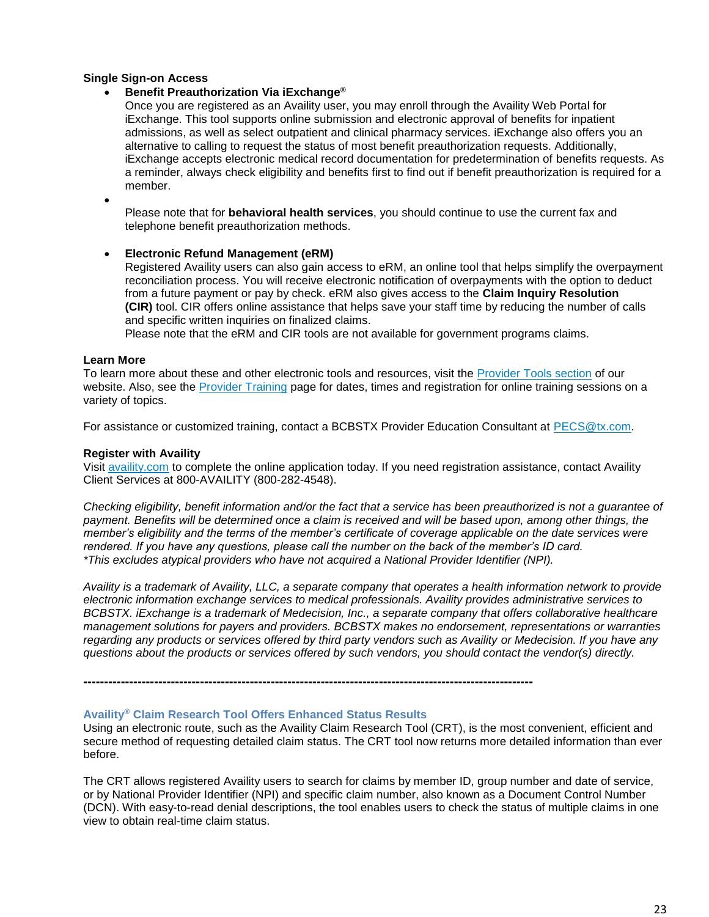#### **Single Sign-on Access**

#### **Benefit Preauthorization Via iExchange®**

Once you are registered as an Availity user, you may enroll through the Availity Web Portal for iExchange. This tool supports online submission and electronic approval of benefits for inpatient admissions, as well as select outpatient and clinical pharmacy services. iExchange also offers you an alternative to calling to request the status of most benefit preauthorization requests. Additionally, iExchange accepts electronic medical record documentation for predetermination of benefits requests. As a reminder, always check eligibility and benefits first to find out if benefit preauthorization is required for a member.

 $\bullet$ 

Please note that for **behavioral health services**, you should continue to use the current fax and telephone benefit preauthorization methods.

#### **Electronic Refund Management (eRM)**

Registered Availity users can also gain access to eRM, an online tool that helps simplify the overpayment reconciliation process. You will receive electronic notification of overpayments with the option to deduct from a future payment or pay by check. eRM also gives access to the **Claim Inquiry Resolution (CIR)** tool. CIR offers online assistance that helps save your staff time by reducing the number of calls and specific written inquiries on finalized claims.

Please note that the eRM and CIR tools are not available for government programs claims.

#### **Learn More**

To learn more about these and other electronic tools and resources, visit the [Provider](https://www.bcbstx.com/provider/tools/index.html) Tools section of our website. Also, see the [Provider](https://www.bcbstx.com/provider/training/) Training page for dates, times and registration for online training sessions on a variety of topics.

For assistance or customized training, contact a BCBSTX Provider Education Consultant at [PECS@tx.com](PECS <PECS@bcbstx.com>).

#### **Register with Availity**

Visit [availity.com](https://www.availity.com/) to complete the online application today. If you need registration assistance, contact Availity Client Services at 800-AVAILITY (800-282-4548).

*Checking eligibility, benefit information and/or the fact that a service has been preauthorized is not a guarantee of payment. Benefits will be determined once a claim is received and will be based upon, among other things, the member's eligibility and the terms of the member's certificate of coverage applicable on the date services were rendered. If you have any questions, please call the number on the back of the member's ID card. \*This excludes atypical providers who have not acquired a National Provider Identifier (NPI).*

*Availity is a trademark of Availity, LLC, a separate company that operates a health information network to provide electronic information exchange services to medical professionals. Availity provides administrative services to BCBSTX. iExchange is a trademark of Medecision, Inc., a separate company that offers collaborative healthcare management solutions for payers and providers. BCBSTX makes no endorsement, representations or warranties regarding any products or services offered by third party vendors such as Availity or Medecision. If you have any questions about the products or services offered by such vendors, you should contact the vendor(s) directly.*

**------------------------------------------------------------------------------------------------------------**

#### **Availity® Claim Research Tool Offers Enhanced Status Results**

Using an electronic route, such as the Availity Claim Research Tool (CRT), is the most convenient, efficient and secure method of requesting detailed claim status. The CRT tool now returns more detailed information than ever before.

The CRT allows registered Availity users to search for claims by member ID, group number and date of service, or by National Provider Identifier (NPI) and specific claim number, also known as a Document Control Number (DCN). With easy-to-read denial descriptions, the tool enables users to check the status of multiple claims in one view to obtain real-time claim status.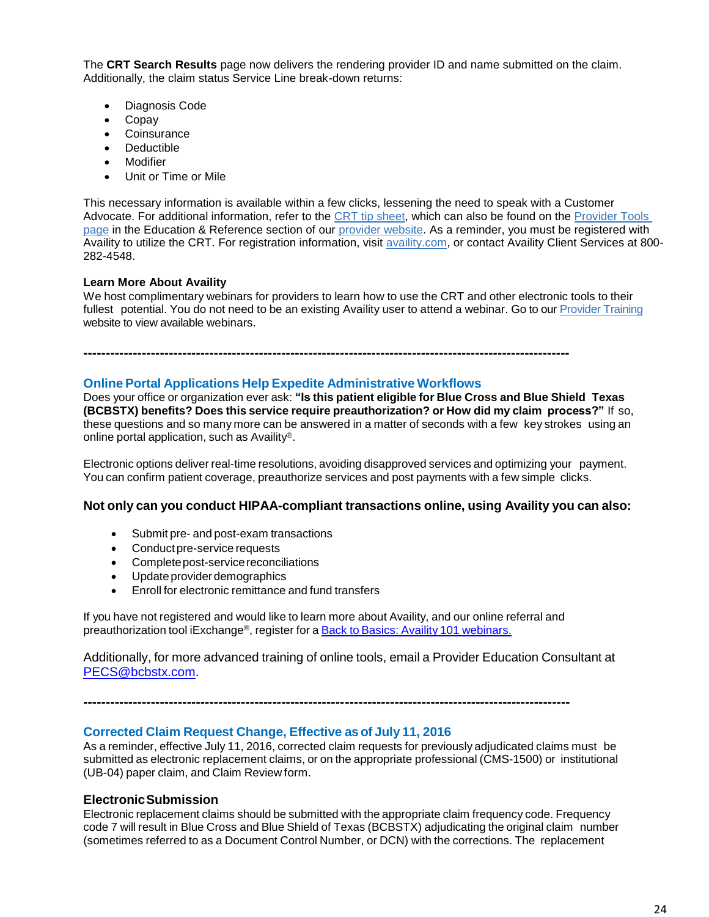The **CRT Search Results** page now delivers the rendering provider ID and name submitted on the claim. Additionally, the claim status Service Line break-down returns:

- Diagnosis Code
- Copay
- Coinsurance
- Deductible
- Modifier
- Unit or Time or Mile

This necessary information is available within a few clicks, lessening the need to speak with a Customer Advocate. For additional information, refer to the [CRT tip sheet,](https://www.bcbstx.com/provider/pdf/availity_crt_online_tip_sheet.pdf) which can also be found on the [Provider Tools](https://www.bcbstx.com/provider/tools/index.html)  [page](https://www.bcbstx.com/provider/tools/index.html) in the Education & Reference section of our [provider website.](https://www.bcbstx.com/provider/index.html) As a reminder, you must be registered with Availity to utilize the CRT. For registration information, visit [availity.com,](https://www.availity.com/) or contact Availity Client Services at 800-282-4548.

#### **Learn More About Availity**

We host complimentary webinars for providers to learn how to use the CRT and other electronic tools to their fullest potential. You do not need to be an existing Availity user to attend a webinar. Go to ou[r Provider Training](https://www.bcbstx.com/provider/training/index.html) website to view available webinars.

**------------------------------------------------------------------------------------------------------------**

## **Online Portal Applications Help Expedite Administrative Workflows**

Does your office or organization ever ask: **"Is this patient eligible for Blue Cross and Blue Shield Texas (BCBSTX) benefits? Does this service require preauthorization? or How did my claim process?"** If so, these questions and so many more can be answered in a matter of seconds with a few key strokes using an online portal application, such as Availity®.

Electronic options deliver real-time resolutions, avoiding disapproved services and optimizing your payment. You can confirm patient coverage, preauthorize services and post payments with a few simple clicks.

#### **Not only can you conduct HIPAA-compliant transactions online, using Availity you can also:**

- Submit pre- and post-exam transactions
- Conduct pre-service requests
- Complete post-service reconciliations
- Update provider demographics
- Enroll for electronic remittance and fund transfers

If you have not registered and would like to learn more about Availity, and our online referral and preauthorization tool iExchange®, register for a Back to Basics: Availity 101 [webinars.](https://www.bcbstx.com/provider/tools/index.html)

Additionally, for more advanced training of online tools, email a Provider Education Consultant at [PECS@bcbstx.com.](mailto:PECS@bcbstx.com)

**------------------------------------------------------------------------------------------------------------**

#### **Corrected Claim Request Change, Effective asof July 11, 2016**

As a reminder, effective July 11, 2016, corrected claim requests for previously adjudicated claims must be submitted as electronic replacement claims, or on the appropriate professional (CMS-1500) or institutional (UB-04) paper claim, and Claim Review form.

#### **ElectronicSubmission**

Electronic replacement claims should be submitted with the appropriate claim frequency code. Frequency code 7 will result in Blue Cross and Blue Shield of Texas (BCBSTX) adjudicating the original claim number (sometimes referred to as a Document Control Number, or DCN) with the corrections. The replacement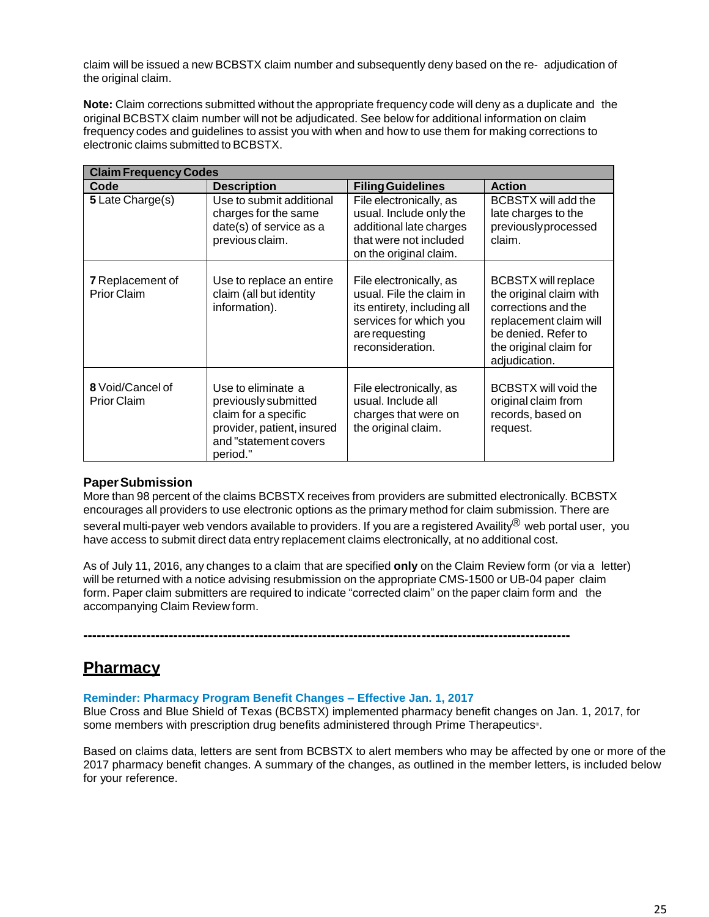claim will be issued a new BCBSTX claim number and subsequently deny based on the re- adjudication of the original claim.

**Note:** Claim corrections submitted without the appropriate frequency code will deny as a duplicate and the original BCBSTX claim number will not be adjudicated. See below for additional information on claim frequency codes and guidelines to assist you with when and how to use them for making corrections to electronic claims submitted to BCBSTX.

| <b>Claim Frequency Codes</b>                  |                                                                                                                                       |                                                                                                                                                    |                                                                                                                                                                          |  |  |
|-----------------------------------------------|---------------------------------------------------------------------------------------------------------------------------------------|----------------------------------------------------------------------------------------------------------------------------------------------------|--------------------------------------------------------------------------------------------------------------------------------------------------------------------------|--|--|
| Code                                          | <b>Description</b>                                                                                                                    | <b>Filing Guidelines</b>                                                                                                                           | <b>Action</b>                                                                                                                                                            |  |  |
| 5 Late Charge(s)                              | Use to submit additional<br>charges for the same<br>date(s) of service as a<br>previous claim.                                        | File electronically, as<br>usual. Include only the<br>additional late charges<br>that were not included<br>on the original claim.                  | BCBSTX will add the<br>late charges to the<br>previouslyprocessed<br>claim.                                                                                              |  |  |
| <b>7</b> Replacement of<br><b>Prior Claim</b> | Use to replace an entire<br>claim (all but identity<br>information).                                                                  | File electronically, as<br>usual. File the claim in<br>its entirety, including all<br>services for which you<br>are requesting<br>reconsideration. | <b>BCBSTX will replace</b><br>the original claim with<br>corrections and the<br>replacement claim will<br>be denied. Refer to<br>the original claim for<br>adjudication. |  |  |
| 8 Void/Cancel of<br><b>Prior Claim</b>        | Use to eliminate a<br>previously submitted<br>claim for a specific<br>provider, patient, insured<br>and "statement covers<br>period." | File electronically, as<br>usual. Include all<br>charges that were on<br>the original claim.                                                       | <b>BCBSTX will void the</b><br>original claim from<br>records, based on<br>request.                                                                                      |  |  |

## **PaperSubmission**

More than 98 percent of the claims BCBSTX receives from providers are submitted electronically. BCBSTX encourages all providers to use electronic options as the primary method for claim submission. There are

several multi-payer web vendors available to providers. If you are a registered Availity® web portal user, you have access to submit direct data entry replacement claims electronically, at no additional cost.

As of July 11, 2016, any changes to a claim that are specified **only** on the Claim Review form (or via a letter) will be returned with a notice advising resubmission on the appropriate CMS-1500 or UB-04 paper claim form. Paper claim submitters are required to indicate "corrected claim" on the paper claim form and the accompanying Claim Review form.

**------------------------------------------------------------------------------------------------------------**

## **Pharmacy**

#### **Reminder: Pharmacy Program Benefit Changes – Effective Jan. 1, 2017**

Blue Cross and Blue Shield of Texas (BCBSTX) implemented pharmacy benefit changes on Jan. 1, 2017, for some members with prescription drug benefits administered through Prime Therapeutics® .

Based on claims data, letters are sent from BCBSTX to alert members who may be affected by one or more of the 2017 pharmacy benefit changes. A summary of the changes, as outlined in the member letters, is included below for your reference.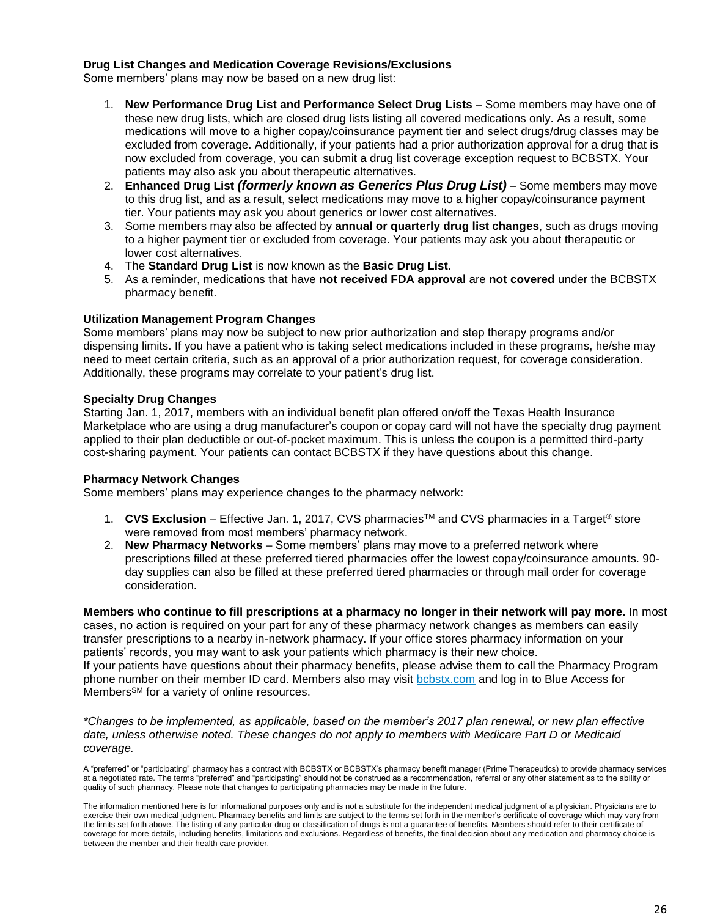#### **Drug List Changes and Medication Coverage Revisions/Exclusions**

Some members' plans may now be based on a new drug list:

- 1. **New Performance Drug List and Performance Select Drug Lists** Some members may have one of these new drug lists, which are closed drug lists listing all covered medications only. As a result, some medications will move to a higher copay/coinsurance payment tier and select drugs/drug classes may be excluded from coverage. Additionally, if your patients had a prior authorization approval for a drug that is now excluded from coverage, you can submit a drug list coverage exception request to BCBSTX. Your patients may also ask you about therapeutic alternatives.
- 2. **Enhanced Drug List** *(formerly known as Generics Plus Drug List)* Some members may move to this drug list, and as a result, select medications may move to a higher copay/coinsurance payment tier. Your patients may ask you about generics or lower cost alternatives.
- 3. Some members may also be affected by **annual or quarterly drug list changes**, such as drugs moving to a higher payment tier or excluded from coverage. Your patients may ask you about therapeutic or lower cost alternatives.
- 4. The **Standard Drug List** is now known as the **Basic Drug List**.
- 5. As a reminder, medications that have **not received FDA approval** are **not covered** under the BCBSTX pharmacy benefit.

#### **Utilization Management Program Changes**

Some members' plans may now be subject to new prior authorization and step therapy programs and/or dispensing limits. If you have a patient who is taking select medications included in these programs, he/she may need to meet certain criteria, such as an approval of a prior authorization request, for coverage consideration. Additionally, these programs may correlate to your patient's drug list.

#### **Specialty Drug Changes**

Starting Jan. 1, 2017, members with an individual benefit plan offered on/off the Texas Health Insurance Marketplace who are using a drug manufacturer's coupon or copay card will not have the specialty drug payment applied to their plan deductible or out-of-pocket maximum. This is unless the coupon is a permitted third-party cost-sharing payment. Your patients can contact BCBSTX if they have questions about this change.

#### **Pharmacy Network Changes**

Some members' plans may experience changes to the pharmacy network:

- 1. **CVS Exclusion** Effective Jan. 1, 2017, CVS pharmaciesTM and CVS pharmacies in a Target® store were removed from most members' pharmacy network.
- 2. **New Pharmacy Networks** Some members' plans may move to a preferred network where prescriptions filled at these preferred tiered pharmacies offer the lowest copay/coinsurance amounts. 90 day supplies can also be filled at these preferred tiered pharmacies or through mail order for coverage consideration.

Members who continue to fill prescriptions at a pharmacy no longer in their network will pay more. In most cases, no action is required on your part for any of these pharmacy network changes as members can easily transfer prescriptions to a nearby in-network pharmacy. If your office stores pharmacy information on your patients' records, you may want to ask your patients which pharmacy is their new choice. If your patients have questions about their pharmacy benefits, please advise them to call the Pharmacy Program phone number on their member ID card. Members also may visit [bcbstx.com](https://www.bcbstx.com/member/) and log in to Blue Access for Members<sup>SM</sup> for a variety of online resources.

*\*Changes to be implemented, as applicable, based on the member's 2017 plan renewal, or new plan effective date, unless otherwise noted. These changes do not apply to members with Medicare Part D or Medicaid coverage.*

A "preferred" or "participating" pharmacy has a contract with BCBSTX or BCBSTX's pharmacy benefit manager (Prime Therapeutics) to provide pharmacy services at a negotiated rate. The terms "preferred" and "participating" should not be construed as a recommendation, referral or any other statement as to the ability or quality of such pharmacy. Please note that changes to participating pharmacies may be made in the future.

The information mentioned here is for informational purposes only and is not a substitute for the independent medical judgment of a physician. Physicians are to exercise their own medical judgment. Pharmacy benefits and limits are subject to the terms set forth in the member's certificate of coverage which may vary from the limits set forth above. The listing of any particular drug or classification of drugs is not a guarantee of benefits. Members should refer to their certificate of coverage for more details, including benefits, limitations and exclusions. Regardless of benefits, the final decision about any medication and pharmacy choice is between the member and their health care provider.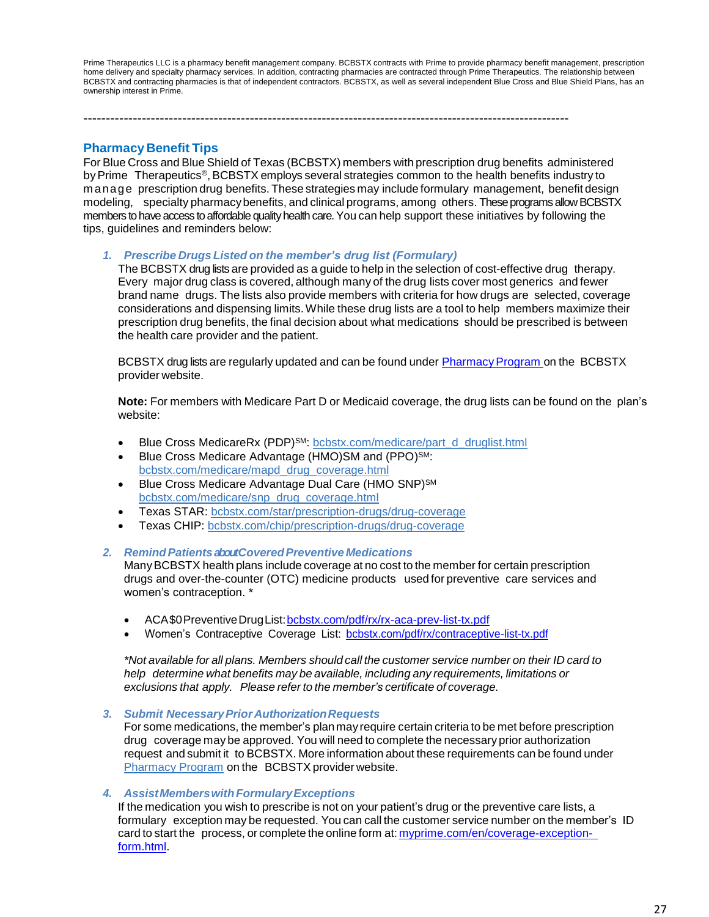Prime Therapeutics LLC is a pharmacy benefit management company. BCBSTX contracts with Prime to provide pharmacy benefit management, prescription home delivery and specialty pharmacy services. In addition, contracting pharmacies are contracted through Prime Therapeutics. The relationship between BCBSTX and contracting pharmacies is that of independent contractors. BCBSTX, as well as several independent Blue Cross and Blue Shield Plans, has an ownership interest in Prime.

**Pharmacy Benefit Tips**

For Blue Cross and Blue Shield of Texas (BCBSTX) members with prescription drug benefits administered by Prime Therapeutics<sup>®</sup>, BCBSTX employs several strategies common to the health benefits industry to m anage prescription drug benefits. These strategies may include formulary management, benefit design modeling, specialty pharmacybenefits, and clinical programs, among others. These programs allow BCBSTX members to have access to affordable quality health care. You can help support these initiatives by following the tips, guidelines and reminders below:

------------------------------------------------------------------------------------------------------------

*1. Prescribe Drugs Listed on the member's drug list (Formulary)*

The BCBSTX drug lists are provided as a guide to help in the selection of cost-effective drug therapy. Every major drug class is covered, although many of the drug lists cover most generics and fewer brand name drugs. The lists also provide members with criteria for how drugs are selected, coverage considerations and dispensing limits.While these drug lists are a tool to help members maximize their prescription drug benefits, the final decision about what medications should be prescribed is between the health care provider and the patient.

BCBSTX drug lists are regularly updated and can be found under **Pharmacy Program** on the BCBSTX provider website.

**Note:** For members with Medicare Part D or Medicaid coverage, the drug lists can be found on the plan's website:

- Blue Cross MedicareRx (PDP)<sup>SM</sup>: [bcbstx.com/medicare/part\\_d\\_druglist.html](http://www.bcbstx.com/medicare/part_d_druglist.html)
- Blue Cross Medicare Advantage (HMO)SM and (PPO)<sup>SM</sup>: [bcbstx.com/medicare/mapd\\_drug\\_coverage.html](http://www.bcbstx.com/medicare/mapd_drug_coverage.html)
- Blue Cross Medicare Advantage Dual Care (HMO SNP)<sup>SM</sup> [bcbstx.com/medicare/snp\\_drug\\_coverage.html](http://www.bcbstx.com/medicare/snp_drug_coverage.html)
- Texas STAR: [bcbstx.com/star/prescription-drugs/drug-coverage](http://www.bcbstx.com/star/prescription-drugs/drug-coverage)
- Texas CHIP: [bcbstx.com/chip/prescription-drugs/drug-coverage](http://www.bcbstx.com/chip/prescription-drugs/drug-coverage)

#### *2. RemindPatientsaboutCoveredPreventive Medications*

ManyBCBSTX health plans include coverage at no cost to the member for certain prescription drugs and over-the-counter (OTC) medicine products used for preventive care services and women's contraception. \*

- ACA\$0PreventiveDrugList[:bcbstx.com/pdf/rx/rx-aca-prev-list-tx.pdf](http://www.bcbstx.com/pdf/rx/rx-aca-prev-list-tx.pdf)
- Women's Contraceptive Coverage List: [bcbstx.com/pdf/rx/contraceptive-list-tx.pdf](http://www.bcbstx.com/pdf/rx/contraceptive-list-tx.pdf)

*\*Not available for all plans. Members should call the customer service number on their ID card to help determine what benefits may be available, including any requirements, limitations or exclusions that apply. Please refer to the member's certificate of coverage.*

*3. Submit NecessaryPriorAuthorizationRequests*

For some medications, the member's planmay require certain criteria to be met before prescription drug coverage may be approved. You will need to complete the necessary prior authorization request and submit it to BCBSTX. More information about these requirements can be found under [Pharmacy Program](https://www.bcbstx.com/provider/pharmacy/pa_step_therapy.html) on the BCBSTX provider website.

#### *4. AssistMemberswithFormularyExceptions*

If the medication you wish to prescribe is not on your patient's drug or the preventive care lists, a formulary exception may be requested. You can call the customer service number on the member's ID card to start the process, or complete the online form at: [myprime.com/en/coverage-exception](http://www.myprime.com/en/coverage-exception-form.html)[form.html.](http://www.myprime.com/en/coverage-exception-form.html)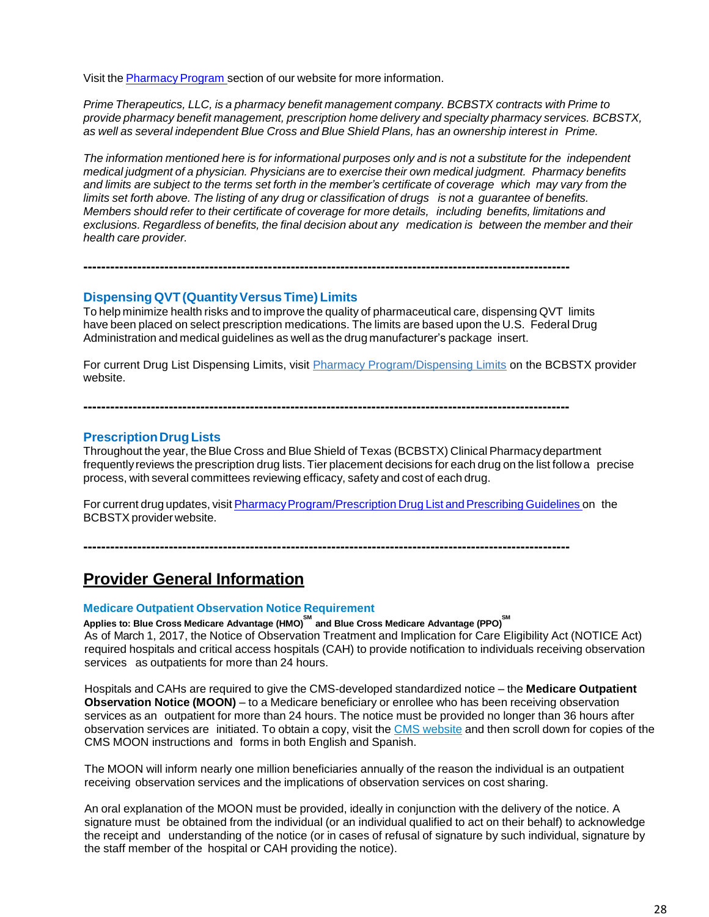Visit the Pharmacy Program section of our website for more information.

*Prime Therapeutics, LLC, is a pharmacy benefit management company. BCBSTX contracts with Prime to provide pharmacy benefit management, prescription home delivery and specialty pharmacy services. BCBSTX, as well as several independent Blue Cross and Blue Shield Plans, has an ownership interest in Prime.*

The information mentioned here is for informational purposes only and is not a substitute for the independent *medical judgment of a physician. Physicians are to exercise their own medical judgment. Pharmacy benefits* and limits are subject to the terms set forth in the member's certificate of coverage which may vary from the limits set forth above. The listing of any drug or classification of drugs is not a guarantee of benefits. *Members should refer to their certificate of coverage for more details, including benefits, limitations and exclusions. Regardless of benefits, the final decision about any medication is between the member and their health care provider.*

## **Dispensing QVT (Quantity Versus Time) Limits**

To help minimize health risks and to improve the quality of pharmaceutical care, dispensing QVT limits have been placed on select prescription medications. The limits are based upon the U.S. Federal Drug Administration and medical guidelines as well as the drug manufacturer's package insert.

**------------------------------------------------------------------------------------------------------------**

For current Drug List Dispensing Limits, visit [Pharmacy Program/Dispensing Limits](https://www.bcbstx.com/provider/pharmacy/quantity_time.html) on the BCBSTX provider website.

## **PrescriptionDrugLists**

Throughout the year, theBlue Cross and Blue Shield of Texas (BCBSTX) Clinical Pharmacydepartment frequentlyreviews the prescription drug lists. Tier placement decisions for each drug on the list follow a precise process, with several committees reviewing efficacy, safety and cost of each drug.

For current drug updates, visit Pharmacy Program/Prescription Drug List and Prescribing Guidelines on the BCBSTX provider website.

**------------------------------------------------------------------------------------------------------------**

**------------------------------------------------------------------------------------------------------------**

## **Provider General Information**

## **Medicare Outpatient Observation Notice Requirement**

**Applies to: Blue Cross Medicare Advantage (HMO) SM and Blue Cross Medicare Advantage (PPO) SM** As of March 1, 2017, the Notice of Observation Treatment and Implication for Care Eligibility Act (NOTICE Act) required hospitals and critical access hospitals (CAH) to provide notification to individuals receiving observation services as outpatients for more than 24 hours.

Hospitals and CAHs are required to give the CMS-developed standardized notice – the **Medicare Outpatient Observation Notice (MOON)** – to a Medicare beneficiary or enrollee who has been receiving observation services as an outpatient for more than 24 hours. The notice must be provided no longer than 36 hours after observation services are initiated. To obtain a copy, visit the CMS [website](https://www.cms.gov/Medicare/Medicare-General-Information/BNI/index.html) and then scroll down for copies of the CMS MOON instructions and forms in both English and Spanish.

The MOON will inform nearly one million beneficiaries annually of the reason the individual is an outpatient receiving observation services and the implications of observation services on cost sharing.

An oral explanation of the MOON must be provided, ideally in conjunction with the delivery of the notice. A signature must be obtained from the individual (or an individual qualified to act on their behalf) to acknowledge the receipt and understanding of the notice (or in cases of refusal of signature by such individual, signature by the staff member of the hospital or CAH providing the notice).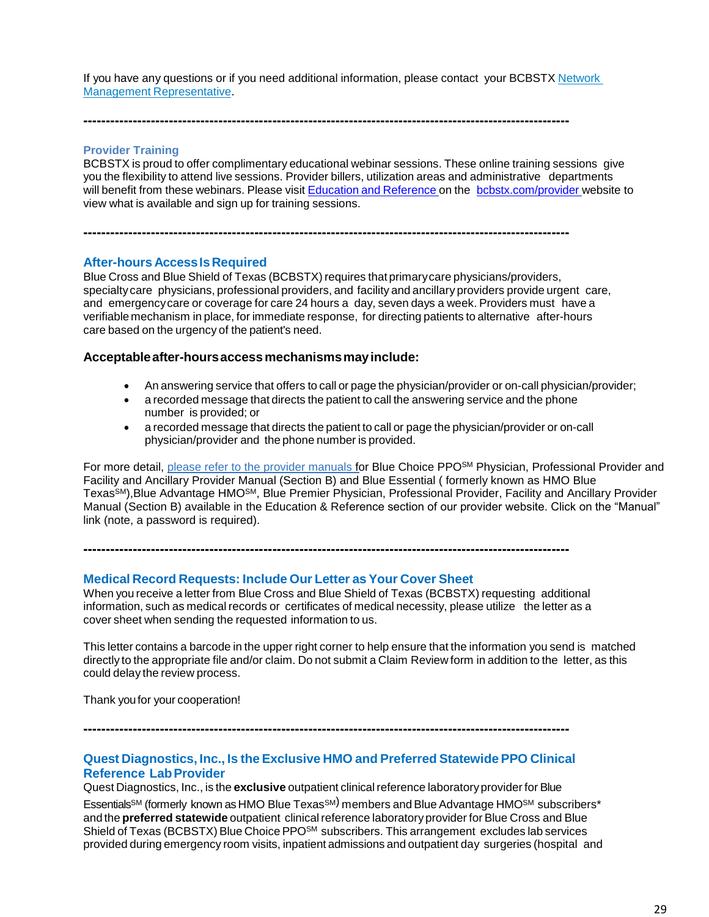If you have any questions or if you need additional information, please contact your BCBSTX [Network](https://www.bcbstx.com/provider/contact_us.html#localnetwork) Management [Representative.](https://www.bcbstx.com/provider/contact_us.html#localnetwork)

**------------------------------------------------------------------------------------------------------------**

**Provider Training**

BCBSTX is proud to offer complimentary educational webinar sessions. These online training sessions give you the flexibility to attend live sessions. Provider billers, utilization areas and administrative departments will benefit from these webinars. Please visit Education and [Reference](http://www.bcbstx.com/provider/training/index.html) on the [bcbstx.com/provider](http://www.bcbstx.com/provider/index.html) website to view what is available and sign up for training sessions.

**------------------------------------------------------------------------------------------------------------**

#### **After-hours AccessIsRequired**

Blue Cross and Blue Shield of Texas (BCBSTX) requires that primary care physicians/providers, specialtycare physicians, professional providers, and facility and ancillary providers provide urgent care, and emergencycare or coverage for care 24 hours a day, seven days a week. Providers must have a verifiable mechanism in place, for immediate response, for directing patients to alternative after-hours care based on the urgency of the patient's need.

#### **Acceptableafter-hoursaccessmechanismsmayinclude:**

- An answering service that offers to call or page the physician/provider or on-call physician/provider;
- a recorded message that directs the patient to call the answering service and the phone number is provided; or
- a recorded message that directs the patient to call or page the physician/provider or on-call physician/provider and the phone number is provided.

For more detail, [please refer to the provider manuals](https://www.bcbstx.com/provider/gri/index.html) for Blue Choice PPO<sup>SM</sup> Physician, Professional Provider and Facility and Ancillary Provider Manual (Section B) and Blue Essential ( formerly known as HMO Blue Texas<sup>SM</sup>), Blue Advantage HMO<sup>SM</sup>, Blue Premier Physician, Professional Provider, Facility and Ancillary Provider Manual (Section B) available in the Education & Reference section of our provider website. Click on the "Manual" link (note, a password is required).

**------------------------------------------------------------------------------------------------------------**

## **Medical Record Requests: Include Our Letter as Your Cover Sheet**

When you receive a letter from Blue Cross and Blue Shield of Texas (BCBSTX) requesting additional information, such as medical records or certificates of medical necessity, please utilize the letter as a cover sheet when sending the requested information to us.

This letter contains a barcode in the upper right corner to help ensure that the information you send is matched directly to the appropriate file and/or claim. Do not submit a Claim Review form in addition to the letter, as this could delay the review process.

Thank youfor your cooperation!

**------------------------------------------------------------------------------------------------------------**

## **Quest Diagnostics, Inc., Is the Exclusive HMO and Preferred StatewidePPO Clinical Reference LabProvider**

Quest Diagnostics, Inc., is the **exclusive** outpatient clinical reference laboratory provider for Blue Essentials<sup>sM</sup> (formerly known as HMO Blue Texas<sup>sM)</sup> members and Blue Advantage HMO<sup>sM</sup> subscribers\* and the **preferred statewide** outpatient clinical reference laboratory provider for Blue Cross and Blue Shield of Texas (BCBSTX) Blue Choice PPO<sup>SM</sup> subscribers. This arrangement excludes lab services provided during emergency room visits, inpatient admissions and outpatient day surgeries (hospital and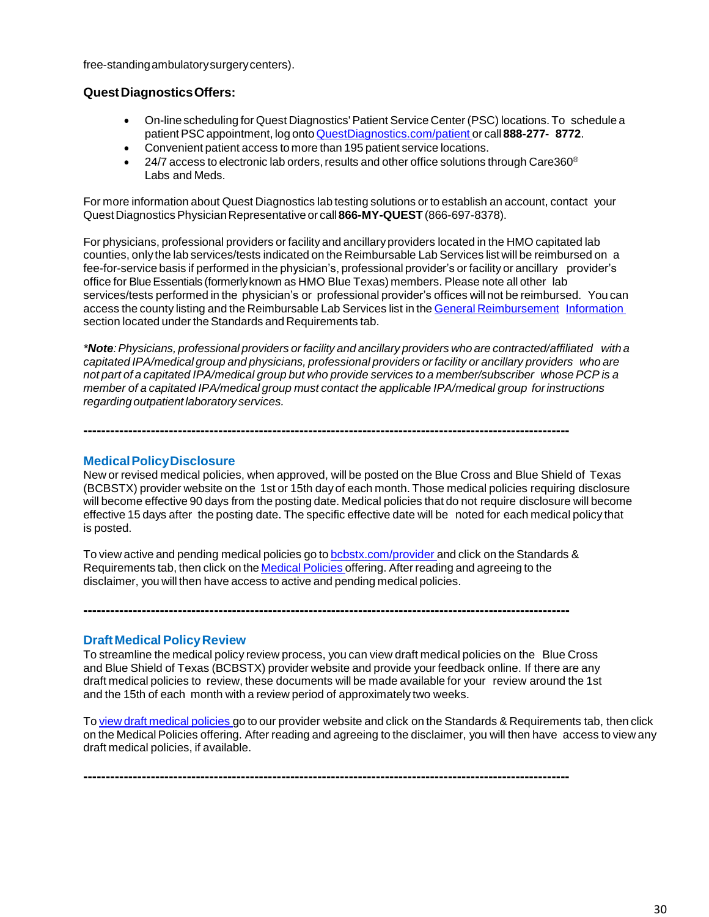free-standingambulatorysurgerycenters).

## **QuestDiagnosticsOffers:**

- On-linescheduling for Quest Diagnostics' Patient Service Center (PSC) locations. To schedule a patientPSC appointment, log onto [QuestDiagnostics.com/patient](https://www.questdiagnostics.com/home/patients) or call **888-277- 8772**.
- Convenient patient access to more than 195 patient service locations.
- $\bullet$  24/7 access to electronic lab orders, results and other office solutions through Care360® Labs and Meds.

For more information about Quest Diagnostics lab testing solutions or to establish an account, contact your QuestDiagnosticsPhysicianRepresentative or call **866-MY-QUEST** (866-697-8378).

For physicians, professional providers or facility and ancillary providers located in the HMO capitated lab counties, only the lab services/tests indicated on the Reimbursable Lab Services list will be reimbursed on a fee-for-service basis if performed in the physician's, professional provider's or facility or ancillary provider's office for BlueEssentials (formerlyknown as HMO Blue Texas) members. Please note all other lab services/tests performed in the physician's or professional provider's offices will not be reimbursed. You can access the county listing and the Reimbursable Lab Services list in the General [Reimbursement](https://www.bcbstx.com/provider/gri/index.html) [Information](http://www.pages02.net/hcscnosuppression/nlt_br_providers_june_2016_b_ok_060116_in_every_issue/LPT.url?kn=900482&amp%3Bamp%3Bvs=YTVjNjZjMzUtOGRhNi00MDUwLWI1MDAtYTg0NTI3M2JkZmUxOzA6ODk5OTgwMToyMjY0ODg5MjYwNzo5NDAwOTQyMjQ6OTQwMDk0MjI0OwS2) section located under the Standards and Requirements tab.

*\*Note:Physicians, professional providers orfacility and ancillary providers who are contracted/affiliated with a capitated IPA/medical group and physicians, professional providers or facility or ancillary providers who are* not part of a capitated IPA/medical group but who provide services to a member/subscriber whose PCP is a *member of a capitated IPA/medical group must contact the applicable IPA/medical group forinstructions regarding outpatient laboratory services.*

**MedicalPolicyDisclosure**

New or revised medical policies, when approved, will be posted on the Blue Cross and Blue Shield of Texas (BCBSTX) provider website on the 1st or 15th dayof each month. Those medical policies requiring disclosure will become effective 90 days from the posting date. Medical policies that do not require disclosure will become effective 15 days after the posting date. The specific effective date will be noted for each medical policy that is posted.

To view active and pending medical policies go to [bcbstx.com/provider](https://www.bcbstx.com/provider/index.html) and click on the Standards & Requirements tab, then click on the [Medical](http://www.medicalpolicy.hcsc.net/medicalpolicy/disclaimer?corpEntCd=TX1) Policies offering. After reading and agreeing to the disclaimer, you will then have access to active and pending medical policies.

**------------------------------------------------------------------------------------------------------------**

**------------------------------------------------------------------------------------------------------------**

**------------------------------------------------------------------------------------------------------------**

## **Draft Medical Policy Review**

To streamline the medical policy review process, you can view draft medical policies on the Blue Cross and Blue Shield of Texas (BCBSTX) provider website and provide your feedback online. If there are any draft medical policies to review, these documents will be made available for your review around the 1st and the 15th of each month with a review period of approximately two weeks.

To view draft [medical](http://www.medicalpolicy.hcsc.net/medicalpolicy/disclaimer?corpEntCd=TX1) policies go to our provider website and click on the Standards & Requirements tab, then click on the Medical Policies offering. After reading and agreeing to the disclaimer, you will then have access to view any draft medical policies, if available.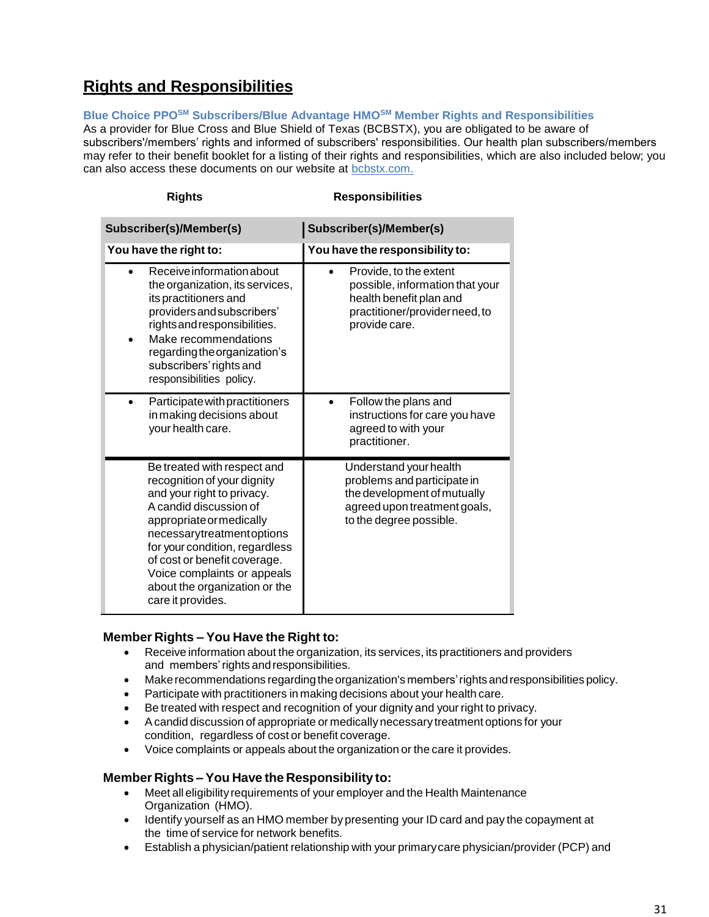## **Rights and Responsibilities**

**Blue Choice PPOSM Subscribers/Blue Advantage HMOSM Member Rights and Responsibilities**

As a provider for Blue Cross and Blue Shield of Texas (BCBSTX), you are obligated to be aware of subscribers'/members' rights and informed of subscribers' responsibilities. Our health plan subscribers/members may refer to their benefit booklet for a listing of their rights and responsibilities, which are also included below; you can also access these documents on our website at [bcbstx.com.](https://www.bcbstx.com/member/)

| <b>Rights</b>                                                                                                                                                                                                                                                                                                                      | <b>Responsibilities</b>                                                                                                                         |  |  |  |
|------------------------------------------------------------------------------------------------------------------------------------------------------------------------------------------------------------------------------------------------------------------------------------------------------------------------------------|-------------------------------------------------------------------------------------------------------------------------------------------------|--|--|--|
| Subscriber(s)/Member(s)                                                                                                                                                                                                                                                                                                            | Subscriber(s)/Member(s)                                                                                                                         |  |  |  |
| You have the right to:                                                                                                                                                                                                                                                                                                             | You have the responsibility to:                                                                                                                 |  |  |  |
| Receive information about<br>the organization, its services,<br>its practitioners and<br>providers and subscribers'<br>rights and responsibilities.<br>Make recommendations<br>regarding the organization's<br>subscribers' rights and<br>responsibilities policy.                                                                 | Provide, to the extent<br>possible, information that your<br>health benefit plan and<br>practitioner/providerneed, to<br>provide care.          |  |  |  |
| Participate with practitioners<br>in making decisions about<br>your health care.                                                                                                                                                                                                                                                   | Follow the plans and<br>instructions for care you have<br>agreed to with your<br>practitioner.                                                  |  |  |  |
| Be treated with respect and<br>recognition of your dignity<br>and your right to privacy.<br>A candid discussion of<br>appropriate or medically<br>necessarytreatmentoptions<br>for your condition, regardless<br>of cost or benefit coverage.<br>Voice complaints or appeals<br>about the organization or the<br>care it provides. | Understand your health<br>problems and participate in<br>the development of mutually<br>agreed upon treatment goals,<br>to the degree possible. |  |  |  |

## **Member Rights – You Have the Right to:**

- Receive information about the organization, its services, its practitioners and providers and members'rights andresponsibilities.
- Makerecommendations regardingtheorganization's members'rights andresponsibilities policy.
- Participate with practitioners in making decisions about your health care.
- Be treated with respect and recognition of your dignity and your right to privacy.
- Acandid discussion of appropriate or medically necessary treatment options for your condition, regardless of cost or benefit coverage.
- Voice complaints or appeals about the organization or the care it provides.

## **Member Rights – You Have the Responsibility to:**

- Meet all eligibilityrequirements of your employer and the Health Maintenance Organization (HMO).
- Identify yourself as an HMO member bypresenting your ID card and pay the copayment at the time of service for network benefits.
- Establish a physician/patient relationship with your primarycare physician/provider (PCP) and